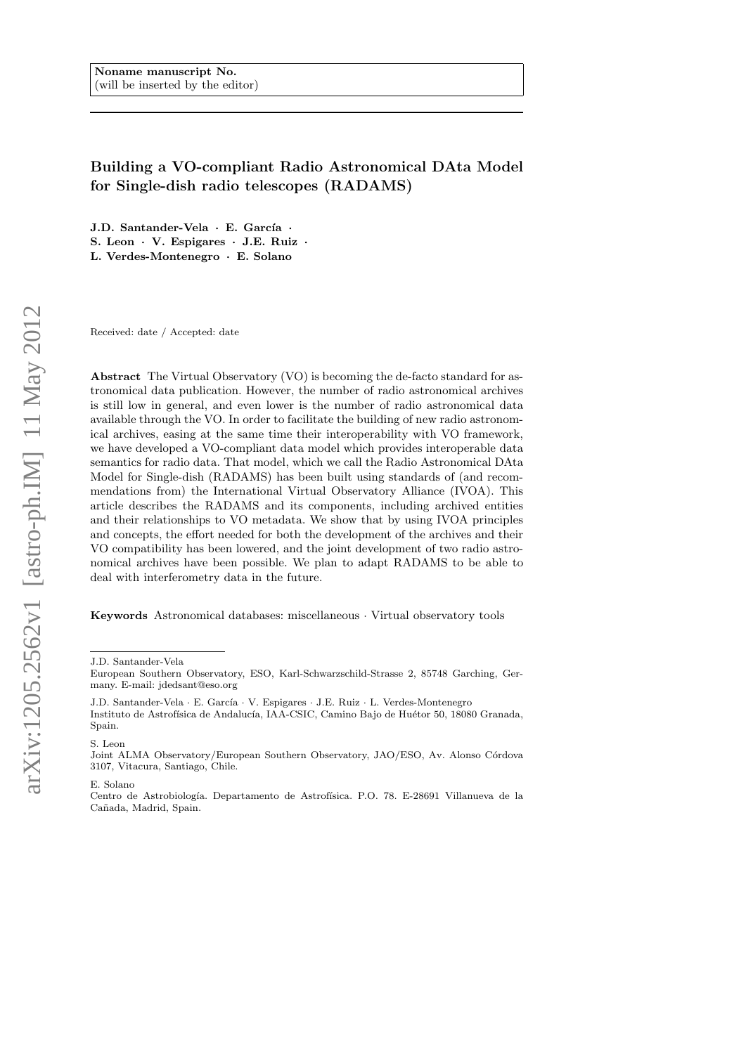# Building a VO-compliant Radio Astronomical DAta Model for Single-dish radio telescopes (RADAMS)

J.D. Santander-Vela · E. García · S. Leon · V. Espigares · J.E. Ruiz · L. Verdes-Montenegro · E. Solano

Received: date / Accepted: date

Abstract The Virtual Observatory (VO) is becoming the de-facto standard for astronomical data publication. However, the number of radio astronomical archives is still low in general, and even lower is the number of radio astronomical data available through the VO. In order to facilitate the building of new radio astronomical archives, easing at the same time their interoperability with VO framework, we have developed a VO-compliant data model which provides interoperable data semantics for radio data. That model, which we call the Radio Astronomical DAta Model for Single-dish (RADAMS) has been built using standards of (and recommendations from) the International Virtual Observatory Alliance (IVOA). This article describes the RADAMS and its components, including archived entities and their relationships to VO metadata. We show that by using IVOA principles and concepts, the effort needed for both the development of the archives and their VO compatibility has been lowered, and the joint development of two radio astronomical archives have been possible. We plan to adapt RADAMS to be able to deal with interferometry data in the future.

Keywords Astronomical databases: miscellaneous · Virtual observatory tools

J.D. Santander-Vela · E. García · V. Espigares · J.E. Ruiz · L. Verdes-Montenegro Instituto de Astrofísica de Andalucía, IAA-CSIC, Camino Bajo de Huétor 50, 18080 Granada, Spain.

S. Leon

E. Solano

J.D. Santander-Vela

European Southern Observatory, ESO, Karl-Schwarzschild-Strasse 2, 85748 Garching, Germany. E-mail: jdedsant@eso.org

Joint ALMA Observatory/European Southern Observatory, JAO/ESO, Av. Alonso Córdova 3107, Vitacura, Santiago, Chile.

Centro de Astrobiología. Departamento de Astrofísica. P.O. 78. E-28691 Villanueva de la Cañada, Madrid, Spain.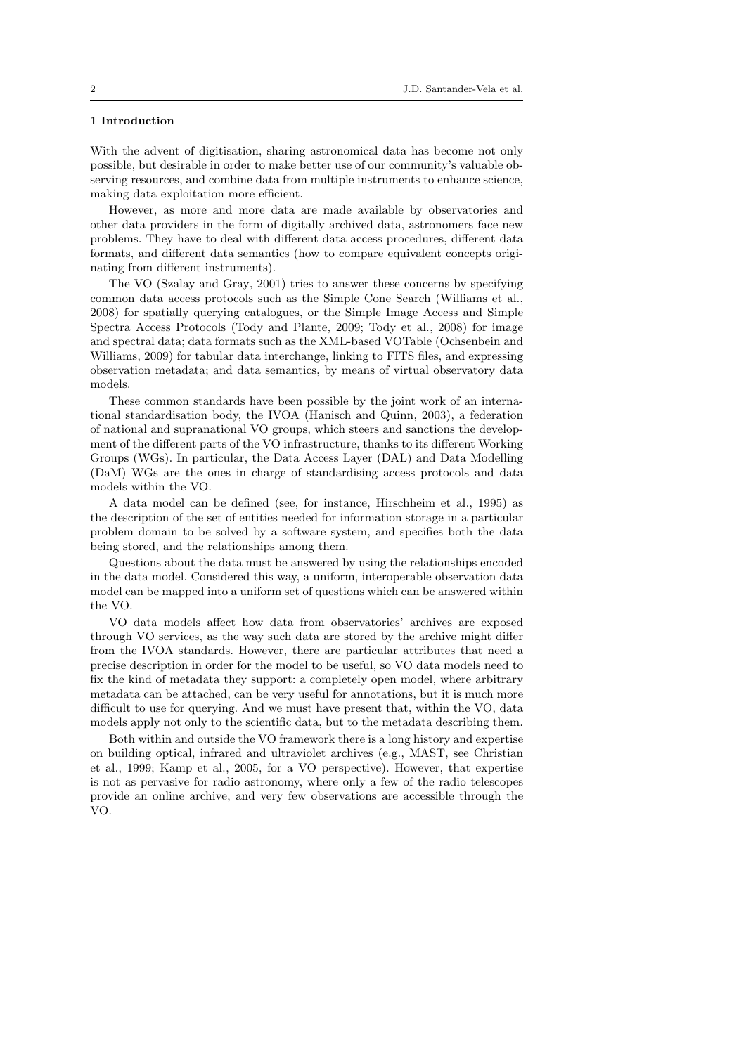# 1 Introduction

With the advent of digitisation, sharing astronomical data has become not only possible, but desirable in order to make better use of our community's valuable observing resources, and combine data from multiple instruments to enhance science, making data exploitation more efficient.

However, as more and more data are made available by observatories and other data providers in the form of digitally archived data, astronomers face new problems. They have to deal with different data access procedures, different data formats, and different data semantics (how to compare equivalent concepts originating from different instruments).

The VO (Szalay and Gray, 2001) tries to answer these concerns by specifying common data access protocols such as the Simple Cone Search (Williams et al., 2008) for spatially querying catalogues, or the Simple Image Access and Simple Spectra Access Protocols (Tody and Plante, 2009; Tody et al., 2008) for image and spectral data; data formats such as the XML-based VOTable (Ochsenbein and Williams, 2009) for tabular data interchange, linking to FITS files, and expressing observation metadata; and data semantics, by means of virtual observatory data models.

These common standards have been possible by the joint work of an international standardisation body, the IVOA (Hanisch and Quinn, 2003), a federation of national and supranational VO groups, which steers and sanctions the development of the different parts of the VO infrastructure, thanks to its different Working Groups (WGs). In particular, the Data Access Layer (DAL) and Data Modelling (DaM) WGs are the ones in charge of standardising access protocols and data models within the VO.

A data model can be defined (see, for instance, Hirschheim et al., 1995) as the description of the set of entities needed for information storage in a particular problem domain to be solved by a software system, and specifies both the data being stored, and the relationships among them.

Questions about the data must be answered by using the relationships encoded in the data model. Considered this way, a uniform, interoperable observation data model can be mapped into a uniform set of questions which can be answered within the VO.

VO data models affect how data from observatories' archives are exposed through VO services, as the way such data are stored by the archive might differ from the IVOA standards. However, there are particular attributes that need a precise description in order for the model to be useful, so VO data models need to fix the kind of metadata they support: a completely open model, where arbitrary metadata can be attached, can be very useful for annotations, but it is much more difficult to use for querying. And we must have present that, within the VO, data models apply not only to the scientific data, but to the metadata describing them.

Both within and outside the VO framework there is a long history and expertise on building optical, infrared and ultraviolet archives (e.g., MAST, see Christian et al., 1999; Kamp et al., 2005, for a VO perspective). However, that expertise is not as pervasive for radio astronomy, where only a few of the radio telescopes provide an online archive, and very few observations are accessible through the VO.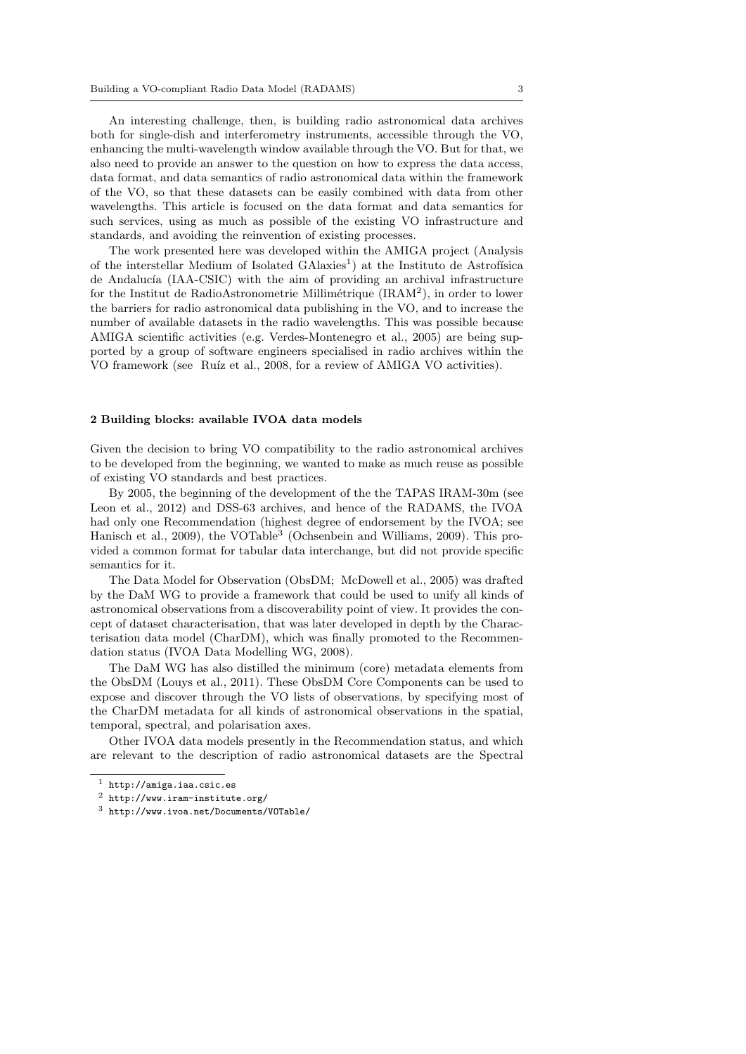An interesting challenge, then, is building radio astronomical data archives both for single-dish and interferometry instruments, accessible through the VO, enhancing the multi-wavelength window available through the VO. But for that, we also need to provide an answer to the question on how to express the data access, data format, and data semantics of radio astronomical data within the framework of the VO, so that these datasets can be easily combined with data from other wavelengths. This article is focused on the data format and data semantics for such services, using as much as possible of the existing VO infrastructure and standards, and avoiding the reinvention of existing processes.

The work presented here was developed within the AMIGA project (Analysis of the interstellar Medium of Isolated  $\text{GAlaxies}^1$  at the Instituto de Astrofísica de Andalucía (IAA-CSIC) with the aim of providing an archival infrastructure for the Institut de RadioAstronometrie Millimétrique (IRAM<sup>2</sup>), in order to lower the barriers for radio astronomical data publishing in the VO, and to increase the number of available datasets in the radio wavelengths. This was possible because AMIGA scientific activities (e.g. Verdes-Montenegro et al., 2005) are being supported by a group of software engineers specialised in radio archives within the VO framework (see Ruíz et al., 2008, for a review of AMIGA VO activities).

### 2 Building blocks: available IVOA data models

Given the decision to bring VO compatibility to the radio astronomical archives to be developed from the beginning, we wanted to make as much reuse as possible of existing VO standards and best practices.

By 2005, the beginning of the development of the the TAPAS IRAM-30m (see Leon et al., 2012) and DSS-63 archives, and hence of the RADAMS, the IVOA had only one Recommendation (highest degree of endorsement by the IVOA; see Hanisch et al., 2009), the VOTable<sup>3</sup> (Ochsenbein and Williams, 2009). This provided a common format for tabular data interchange, but did not provide specific semantics for it.

The Data Model for Observation (ObsDM; McDowell et al., 2005) was drafted by the DaM WG to provide a framework that could be used to unify all kinds of astronomical observations from a discoverability point of view. It provides the concept of dataset characterisation, that was later developed in depth by the Characterisation data model (CharDM), which was finally promoted to the Recommendation status (IVOA Data Modelling WG, 2008).

The DaM WG has also distilled the minimum (core) metadata elements from the ObsDM (Louys et al., 2011). These ObsDM Core Components can be used to expose and discover through the VO lists of observations, by specifying most of the CharDM metadata for all kinds of astronomical observations in the spatial, temporal, spectral, and polarisation axes.

Other IVOA data models presently in the Recommendation status, and which are relevant to the description of radio astronomical datasets are the Spectral

 $1$  http://amiga.iaa.csic.es

<sup>2</sup> http://www.iram-institute.org/

<sup>3</sup> http://www.ivoa.net/Documents/VOTable/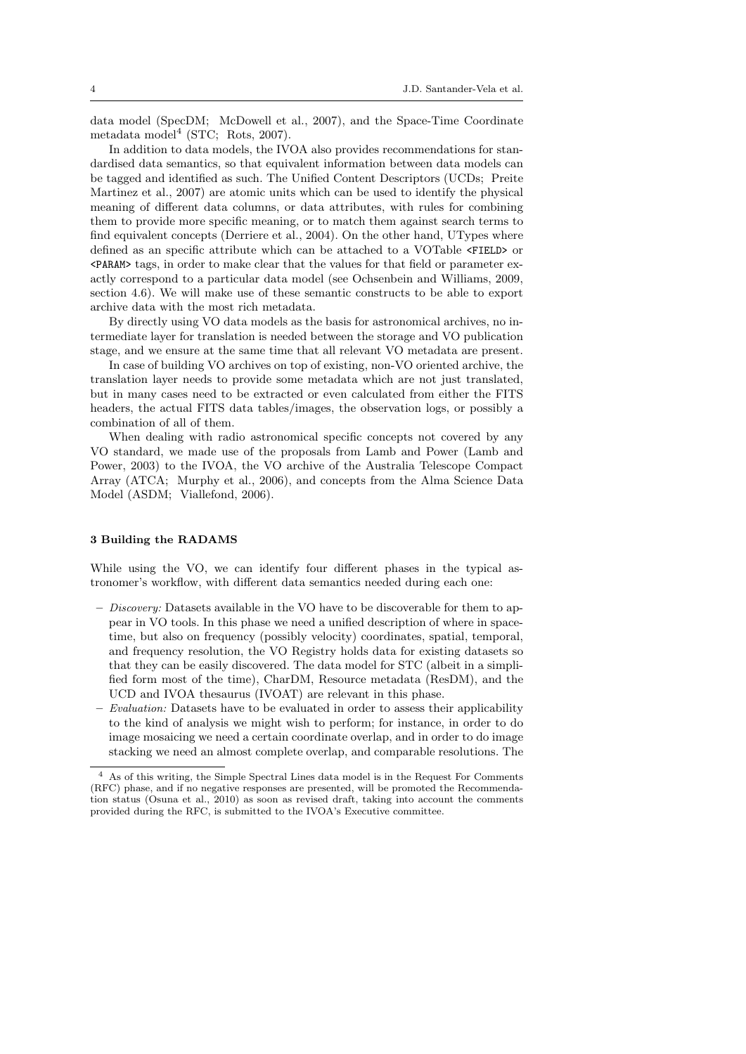data model (SpecDM; McDowell et al., 2007), and the Space-Time Coordinate metadata model<sup>4</sup> (STC; Rots, 2007).

In addition to data models, the IVOA also provides recommendations for standardised data semantics, so that equivalent information between data models can be tagged and identified as such. The Unified Content Descriptors (UCDs; Preite Martinez et al., 2007) are atomic units which can be used to identify the physical meaning of different data columns, or data attributes, with rules for combining them to provide more specific meaning, or to match them against search terms to find equivalent concepts (Derriere et al., 2004). On the other hand, UTypes where defined as an specific attribute which can be attached to a VOTable <FIELD> or <PARAM> tags, in order to make clear that the values for that field or parameter exactly correspond to a particular data model (see Ochsenbein and Williams, 2009, section 4.6). We will make use of these semantic constructs to be able to export archive data with the most rich metadata.

By directly using VO data models as the basis for astronomical archives, no intermediate layer for translation is needed between the storage and VO publication stage, and we ensure at the same time that all relevant VO metadata are present.

In case of building VO archives on top of existing, non-VO oriented archive, the translation layer needs to provide some metadata which are not just translated, but in many cases need to be extracted or even calculated from either the FITS headers, the actual FITS data tables/images, the observation logs, or possibly a combination of all of them.

When dealing with radio astronomical specific concepts not covered by any VO standard, we made use of the proposals from Lamb and Power (Lamb and Power, 2003) to the IVOA, the VO archive of the Australia Telescope Compact Array (ATCA; Murphy et al., 2006), and concepts from the Alma Science Data Model (ASDM; Viallefond, 2006).

#### 3 Building the RADAMS

While using the VO, we can identify four different phases in the typical astronomer's workflow, with different data semantics needed during each one:

- $-$  *Discovery:* Datasets available in the VO have to be discoverable for them to appear in VO tools. In this phase we need a unified description of where in spacetime, but also on frequency (possibly velocity) coordinates, spatial, temporal, and frequency resolution, the VO Registry holds data for existing datasets so that they can be easily discovered. The data model for STC (albeit in a simplified form most of the time), CharDM, Resource metadata (ResDM), and the UCD and IVOA thesaurus (IVOAT) are relevant in this phase.
- Evaluation: Datasets have to be evaluated in order to assess their applicability to the kind of analysis we might wish to perform; for instance, in order to do image mosaicing we need a certain coordinate overlap, and in order to do image stacking we need an almost complete overlap, and comparable resolutions. The

<sup>4</sup> As of this writing, the Simple Spectral Lines data model is in the Request For Comments (RFC) phase, and if no negative responses are presented, will be promoted the Recommendation status (Osuna et al., 2010) as soon as revised draft, taking into account the comments provided during the RFC, is submitted to the IVOA's Executive committee.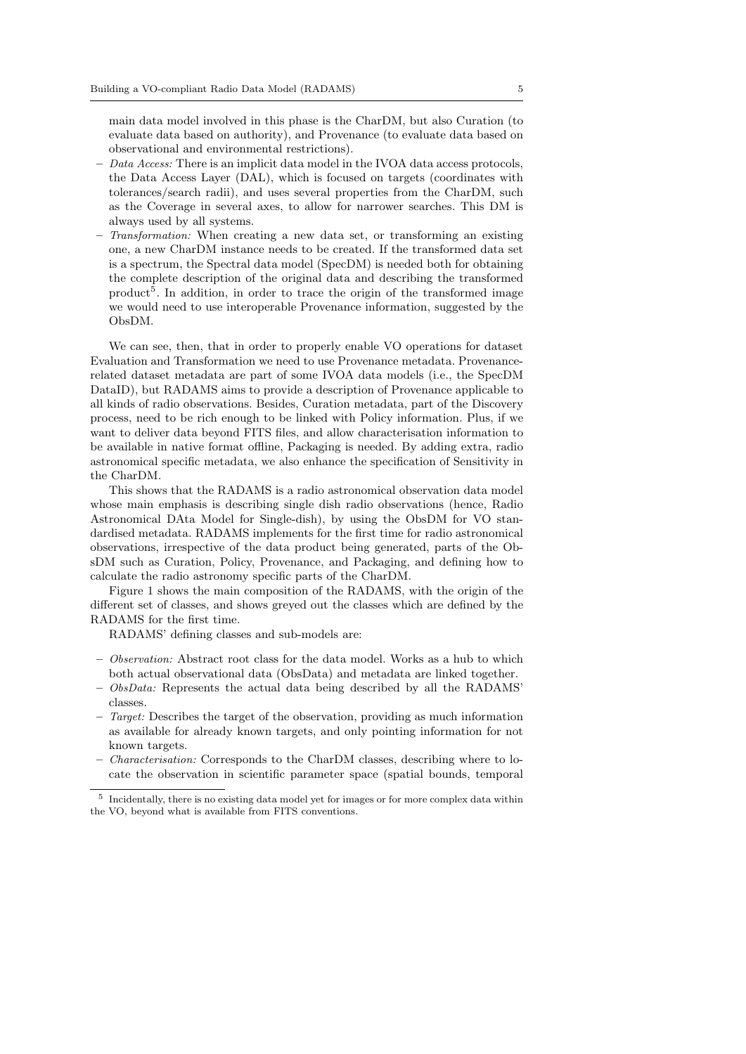main data model involved in this phase is the CharDM, but also Curation (to evaluate data based on authority), and Provenance (to evaluate data based on observational and environmental restrictions).

- $-$  Data Access: There is an implicit data model in the IVOA data access protocols, the Data Access Layer (DAL), which is focused on targets (coordinates with tolerances/search radii), and uses several properties from the CharDM, such as the Coverage in several axes, to allow for narrower searches. This DM is always used by all systems.
- Transformation: When creating a new data set, or transforming an existing one, a new CharDM instance needs to be created. If the transformed data set is a spectrum, the Spectral data model (SpecDM) is needed both for obtaining the complete description of the original data and describing the transformed product<sup>5</sup>. In addition, in order to trace the origin of the transformed image we would need to use interoperable Provenance information, suggested by the ObsDM.

We can see, then, that in order to properly enable VO operations for dataset Evaluation and Transformation we need to use Provenance metadata. Provenancerelated dataset metadata are part of some IVOA data models (i.e., the SpecDM DataID), but RADAMS aims to provide a description of Provenance applicable to all kinds of radio observations. Besides, Curation metadata, part of the Discovery process, need to be rich enough to be linked with Policy information. Plus, if we want to deliver data beyond FITS files, and allow characterisation information to be available in native format offline, Packaging is needed. By adding extra, radio astronomical specific metadata, we also enhance the specification of Sensitivity in the CharDM.

This shows that the RADAMS is a radio astronomical observation data model whose main emphasis is describing single dish radio observations (hence, Radio Astronomical DAta Model for Single-dish), by using the ObsDM for VO standardised metadata. RADAMS implements for the first time for radio astronomical observations, irrespective of the data product being generated, parts of the ObsDM such as Curation, Policy, Provenance, and Packaging, and defining how to calculate the radio astronomy specific parts of the CharDM.

Figure 1 shows the main composition of the RADAMS, with the origin of the different set of classes, and shows greyed out the classes which are defined by the RADAMS for the first time.

RADAMS' defining classes and sub-models are:

- Observation: Abstract root class for the data model. Works as a hub to which both actual observational data (ObsData) and metadata are linked together.
- ObsData: Represents the actual data being described by all the RADAMS' classes.
- Target: Describes the target of the observation, providing as much information as available for already known targets, and only pointing information for not known targets.
- Characterisation: Corresponds to the CharDM classes, describing where to locate the observation in scientific parameter space (spatial bounds, temporal

<sup>&</sup>lt;sup>5</sup> Incidentally, there is no existing data model yet for images or for more complex data within the VO, beyond what is available from FITS conventions.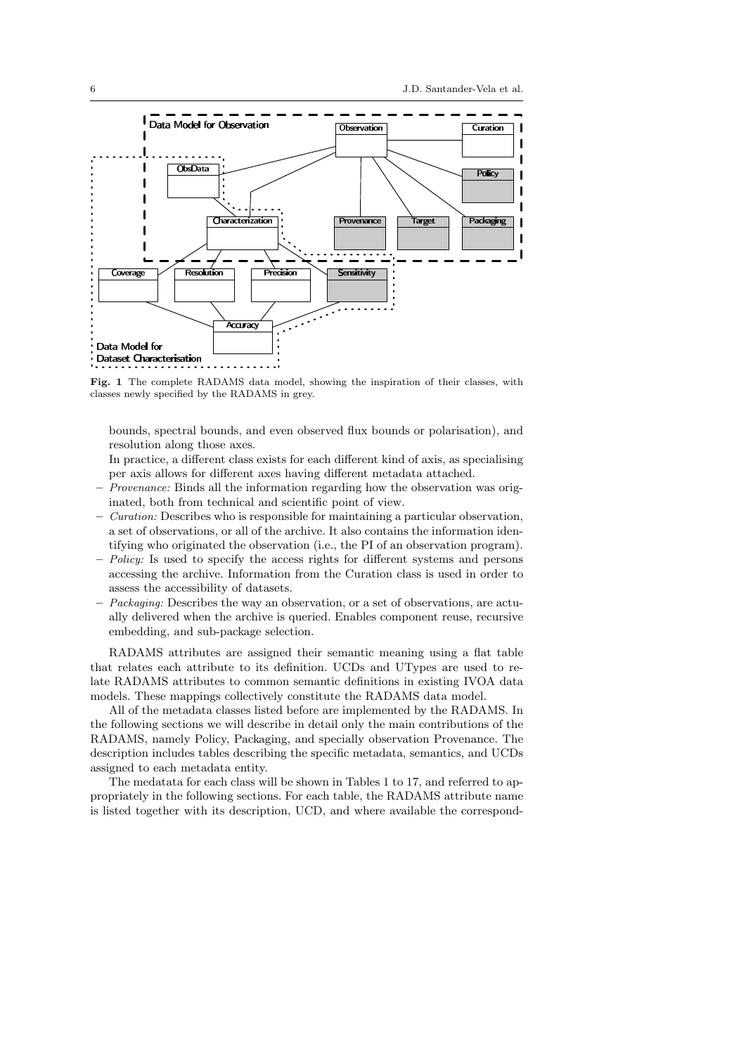

Fig. 1 The complete RADAMS data model, showing the inspiration of their classes, with classes newly specified by the RADAMS in grey.

bounds, spectral bounds, and even observed flux bounds or polarisation), and resolution along those axes.

In practice, a different class exists for each different kind of axis, as specialising per axis allows for different axes having different metadata attached.

- Provenance: Binds all the information regarding how the observation was originated, both from technical and scientific point of view.
- $\sim$  *Curation:* Describes who is responsible for maintaining a particular observation, a set of observations, or all of the archive. It also contains the information identifying who originated the observation (i.e., the PI of an observation program).
- Policy: Is used to specify the access rights for different systems and persons accessing the archive. Information from the Curation class is used in order to assess the accessibility of datasets.
- $Pbackaging: Describes the way an observation, or a set of observations, are actually$ ally delivered when the archive is queried. Enables component reuse, recursive embedding, and sub-package selection.

RADAMS attributes are assigned their semantic meaning using a flat table that relates each attribute to its definition. UCDs and UTypes are used to relate RADAMS attributes to common semantic definitions in existing IVOA data models. These mappings collectively constitute the RADAMS data model.

All of the metadata classes listed before are implemented by the RADAMS. In the following sections we will describe in detail only the main contributions of the RADAMS, namely Policy, Packaging, and specially observation Provenance. The description includes tables describing the specific metadata, semantics, and UCDs assigned to each metadata entity.

The medatata for each class will be shown in Tables 1 to 17, and referred to appropriately in the following sections. For each table, the RADAMS attribute name is listed together with its description, UCD, and where available the correspond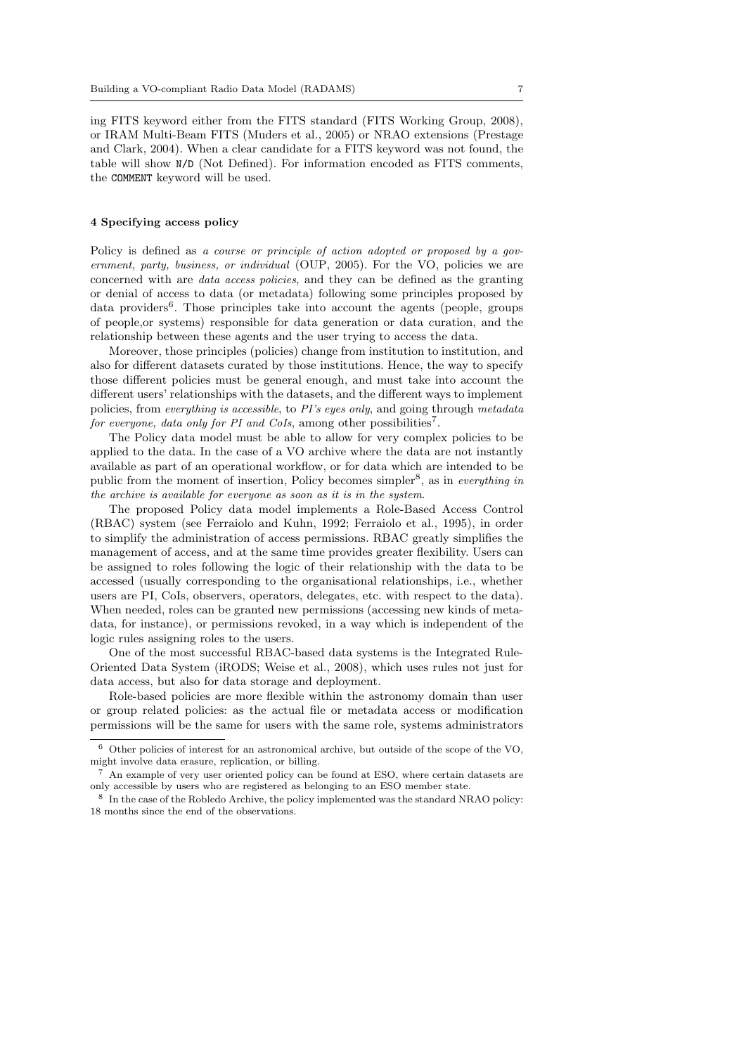ing FITS keyword either from the FITS standard (FITS Working Group, 2008), or IRAM Multi-Beam FITS (Muders et al., 2005) or NRAO extensions (Prestage and Clark, 2004). When a clear candidate for a FITS keyword was not found, the table will show N/D (Not Defined). For information encoded as FITS comments, the COMMENT keyword will be used.

### 4 Specifying access policy

Policy is defined as a course or principle of action adopted or proposed by a qovernment, party, business, or individual (OUP, 2005). For the VO, policies we are concerned with are data access policies, and they can be defined as the granting or denial of access to data (or metadata) following some principles proposed by data providers<sup>6</sup>. Those principles take into account the agents (people, groups of people,or systems) responsible for data generation or data curation, and the relationship between these agents and the user trying to access the data.

Moreover, those principles (policies) change from institution to institution, and also for different datasets curated by those institutions. Hence, the way to specify those different policies must be general enough, and must take into account the different users' relationships with the datasets, and the different ways to implement policies, from everything is accessible, to PI's eyes only, and going through metadata for everyone, data only for PI and CoIs, among other possibilities<sup>7</sup>.

The Policy data model must be able to allow for very complex policies to be applied to the data. In the case of a VO archive where the data are not instantly available as part of an operational workflow, or for data which are intended to be public from the moment of insertion, Policy becomes simpler<sup>8</sup>, as in *everything in* the archive is available for everyone as soon as it is in the system.

The proposed Policy data model implements a Role-Based Access Control (RBAC) system (see Ferraiolo and Kuhn, 1992; Ferraiolo et al., 1995), in order to simplify the administration of access permissions. RBAC greatly simplifies the management of access, and at the same time provides greater flexibility. Users can be assigned to roles following the logic of their relationship with the data to be accessed (usually corresponding to the organisational relationships, i.e., whether users are PI, CoIs, observers, operators, delegates, etc. with respect to the data). When needed, roles can be granted new permissions (accessing new kinds of metadata, for instance), or permissions revoked, in a way which is independent of the logic rules assigning roles to the users.

One of the most successful RBAC-based data systems is the Integrated Rule-Oriented Data System (iRODS; Weise et al., 2008), which uses rules not just for data access, but also for data storage and deployment.

Role-based policies are more flexible within the astronomy domain than user or group related policies: as the actual file or metadata access or modification permissions will be the same for users with the same role, systems administrators

 $6$  Other policies of interest for an astronomical archive, but outside of the scope of the VO, might involve data erasure, replication, or billing.

 $7$  An example of very user oriented policy can be found at ESO, where certain datasets are only accessible by users who are registered as belonging to an ESO member state.

<sup>8</sup> In the case of the Robledo Archive, the policy implemented was the standard NRAO policy: 18 months since the end of the observations.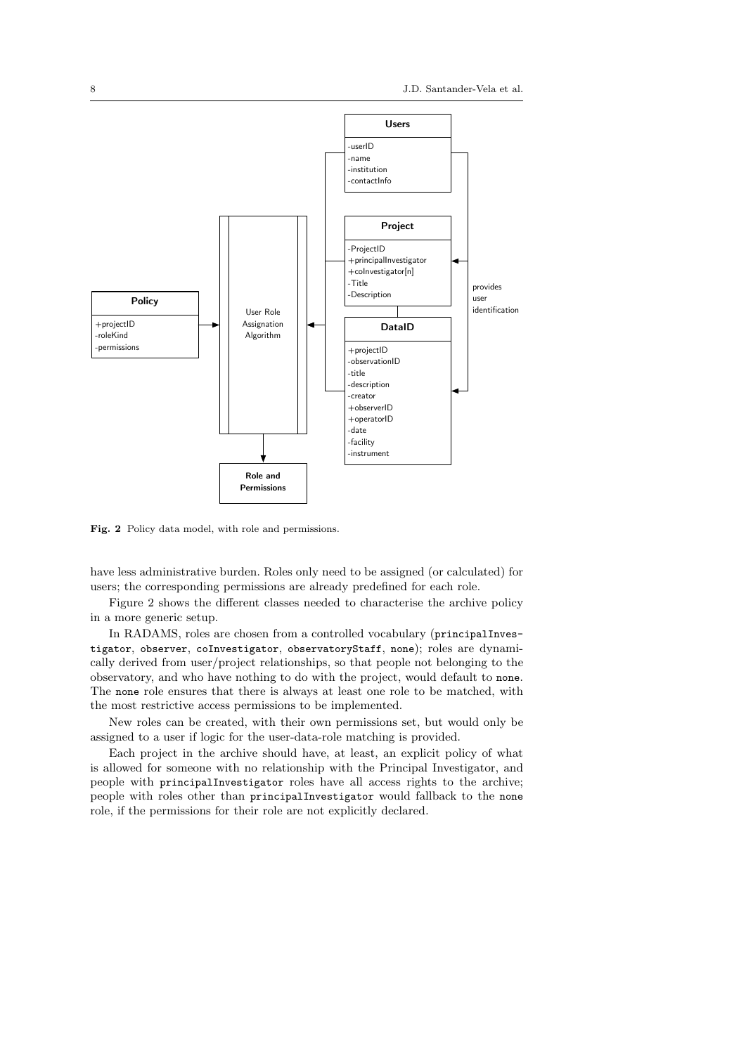

Fig. 2 Policy data model, with role and permissions.

have less administrative burden. Roles only need to be assigned (or calculated) for users; the corresponding permissions are already predefined for each role.

Figure 2 shows the different classes needed to characterise the archive policy in a more generic setup.

In RADAMS, roles are chosen from a controlled vocabulary (principalInvestigator, observer, coInvestigator, observatoryStaff, none); roles are dynamically derived from user/project relationships, so that people not belonging to the observatory, and who have nothing to do with the project, would default to none. The none role ensures that there is always at least one role to be matched, with the most restrictive access permissions to be implemented.

New roles can be created, with their own permissions set, but would only be assigned to a user if logic for the user-data-role matching is provided.

Each project in the archive should have, at least, an explicit policy of what is allowed for someone with no relationship with the Principal Investigator, and people with principalInvestigator roles have all access rights to the archive; people with roles other than principalInvestigator would fallback to the none role, if the permissions for their role are not explicitly declared.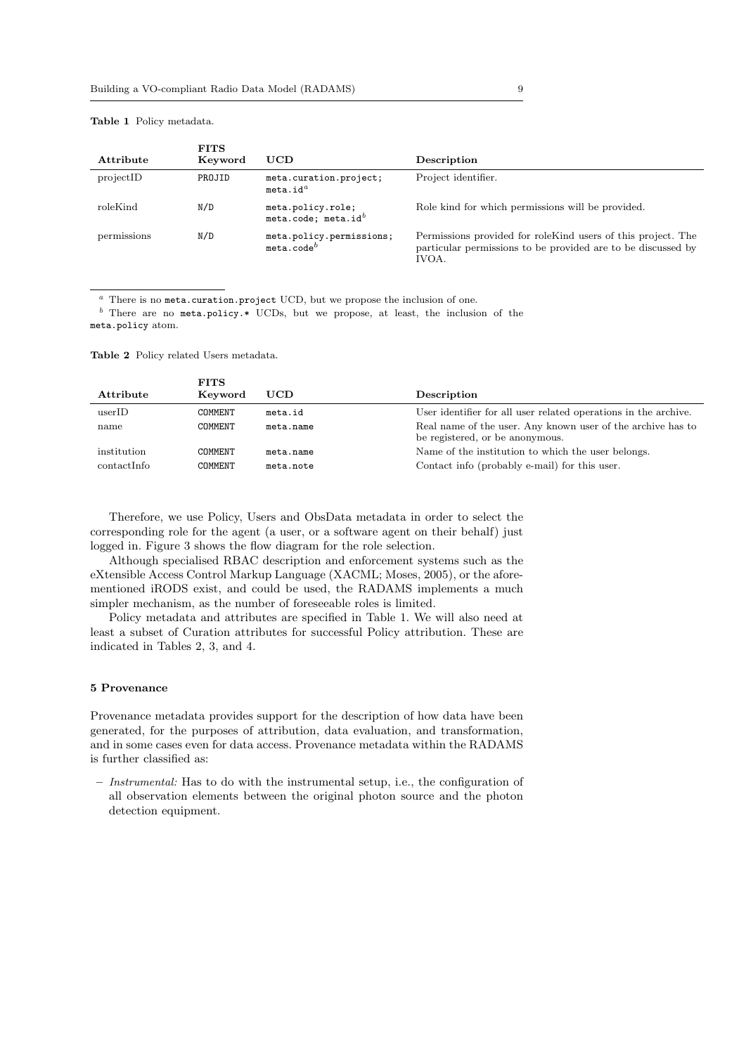#### **FITS** Attribute Keyword UCD Description projectID PROJID meta.curation.project; meta.id $^a$ Project identifier. roleKind N/D meta.policy.role; meta.code; meta.id $^b$ Role kind for which permissions will be provided. permissions N/D meta.policy.permissions;  $meta.code<sup>b</sup>$ Permissions provided for roleKind users of this project. The particular permissions to be provided are to be discussed by IVOA.

Table 1 Policy metadata.

 $a$  There is no meta.curation.project UCD, but we propose the inclusion of one.

 $<sup>b</sup>$  There are no meta.policy.\* UCDs, but we propose, at least, the inclusion of the</sup> meta.policy atom.

Table 2 Policy related Users metadata.

|             | <b>FITS</b> |            |                                                                                                |
|-------------|-------------|------------|------------------------------------------------------------------------------------------------|
| Attribute   | Keyword     | <b>UCD</b> | Description                                                                                    |
| userID      | COMMENT     | meta.id    | User identifier for all user related operations in the archive.                                |
| name        | COMMENT     | meta.name  | Real name of the user. Any known user of the archive has to<br>be registered, or be anonymous. |
| institution | COMMENT     | meta.name  | Name of the institution to which the user belongs.                                             |
| contactInfo | COMMENT     | meta.note  | Contact info (probably e-mail) for this user.                                                  |

Therefore, we use Policy, Users and ObsData metadata in order to select the corresponding role for the agent (a user, or a software agent on their behalf) just logged in. Figure 3 shows the flow diagram for the role selection.

Although specialised RBAC description and enforcement systems such as the eXtensible Access Control Markup Language (XACML; Moses, 2005), or the aforementioned iRODS exist, and could be used, the RADAMS implements a much simpler mechanism, as the number of foreseeable roles is limited.

Policy metadata and attributes are specified in Table 1. We will also need at least a subset of Curation attributes for successful Policy attribution. These are indicated in Tables 2, 3, and 4.

#### 5 Provenance

Provenance metadata provides support for the description of how data have been generated, for the purposes of attribution, data evaluation, and transformation, and in some cases even for data access. Provenance metadata within the RADAMS is further classified as:

– Instrumental: Has to do with the instrumental setup, i.e., the configuration of all observation elements between the original photon source and the photon detection equipment.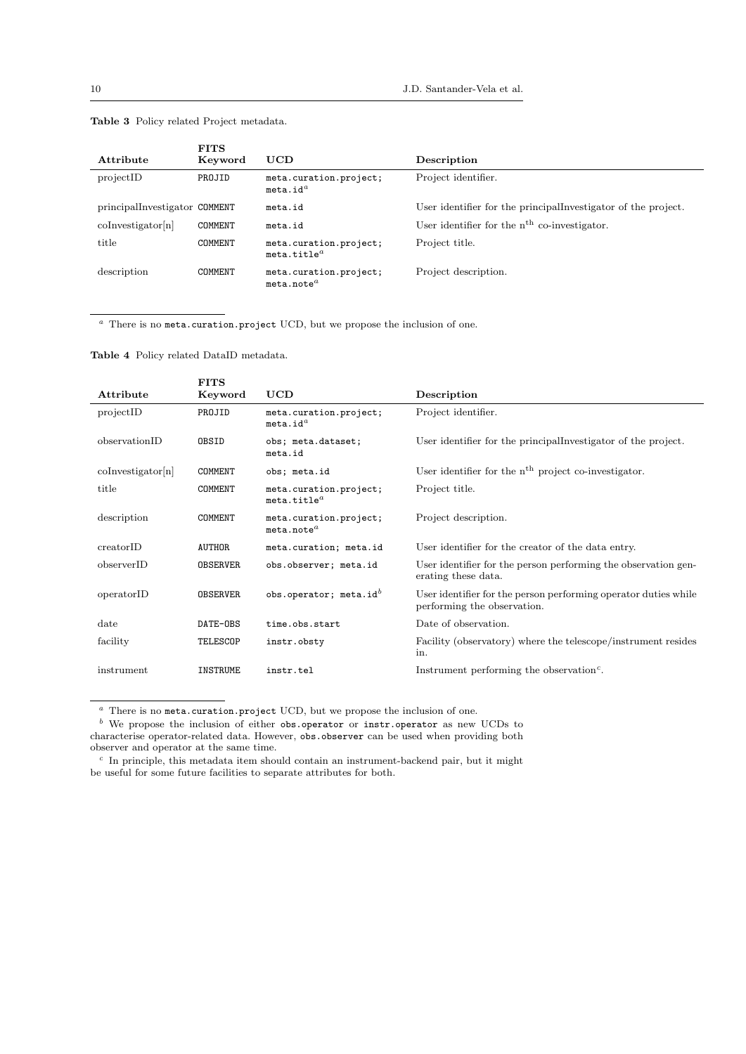| Attribute                     | <b>FITS</b><br>Keyword | UCD                                              | Description                                                    |
|-------------------------------|------------------------|--------------------------------------------------|----------------------------------------------------------------|
| projectID                     | PROJID                 | meta.curation.project;<br>meta.id <sup>a</sup>   | Project identifier.                                            |
| principalInvestigator COMMENT |                        | meta.id                                          | User identifier for the principal investigator of the project. |
| $\text{coInvestigator}[n]$    | COMMENT                | meta.id                                          | User identifier for the $nth$ co-investigator.                 |
| title                         | COMMENT                | meta.curation.project;<br>meta.title $^a$        | Project title.                                                 |
| description                   | COMMENT                | meta.curation.project;<br>meta.note <sup>a</sup> | Project description.                                           |

Table 3 Policy related Project metadata.

<sup>a</sup> There is no meta.curation.project UCD, but we propose the inclusion of one.

Table 4 Policy related DataID metadata.

|                            | <b>FITS</b>     |                                                   |                                                                                                |
|----------------------------|-----------------|---------------------------------------------------|------------------------------------------------------------------------------------------------|
| Attribute                  | Keyword         | UCD                                               | Description                                                                                    |
| projectID                  | PROJID          | meta.curation.project;<br>meta.id <sup>a</sup>    | Project identifier.                                                                            |
| observationID              | OBSID           | obs; meta.dataset;<br>meta.id                     | User identifier for the principal investigator of the project.                                 |
| $\text{coInvestigator}[n]$ | COMMENT         | obs; meta.id                                      | User identifier for the $nth$ project co-investigator.                                         |
| title                      | COMMENT         | meta.curation.project;<br>meta.title <sup>a</sup> | Project title.                                                                                 |
| description                | COMMENT         | meta.curation.project;<br>meta.note <sup>a</sup>  | Project description.                                                                           |
| creatorID                  | <b>AUTHOR</b>   | meta.curation; meta.id                            | User identifier for the creator of the data entry.                                             |
| observerID                 | <b>OBSERVER</b> | obs.observer; meta.id                             | User identifier for the person performing the observation gen-<br>erating these data.          |
| operatorID                 | <b>OBSERVER</b> | obs.operator; meta.id $^{b}$                      | User identifier for the person performing operator duties while<br>performing the observation. |
| $_{\rm date}$              | DATE-OBS        | time.obs.start                                    | Date of observation.                                                                           |
| facility                   | TELESCOP        | instr.obsty                                       | Facility (observatory) where the telescope/instrument resides<br>in.                           |
| instrument                 | <b>INSTRUME</b> | instr.tel                                         | Instrument performing the observation <sup><math>c</math></sup> .                              |

 $\,^a\,$  There is no  $\texttt{meta}$  .curation.project UCD, but we propose the inclusion of one.

 $<sup>b</sup>$  We propose the inclusion of either obs.operator or instr.operator as new UCDs to</sup> characterise operator-related data. However, obs.observer can be used when providing both observer and operator at the same time.

 $c$  In principle, this metadata item should contain an instrument-backend pair, but it might be useful for some future facilities to separate attributes for both.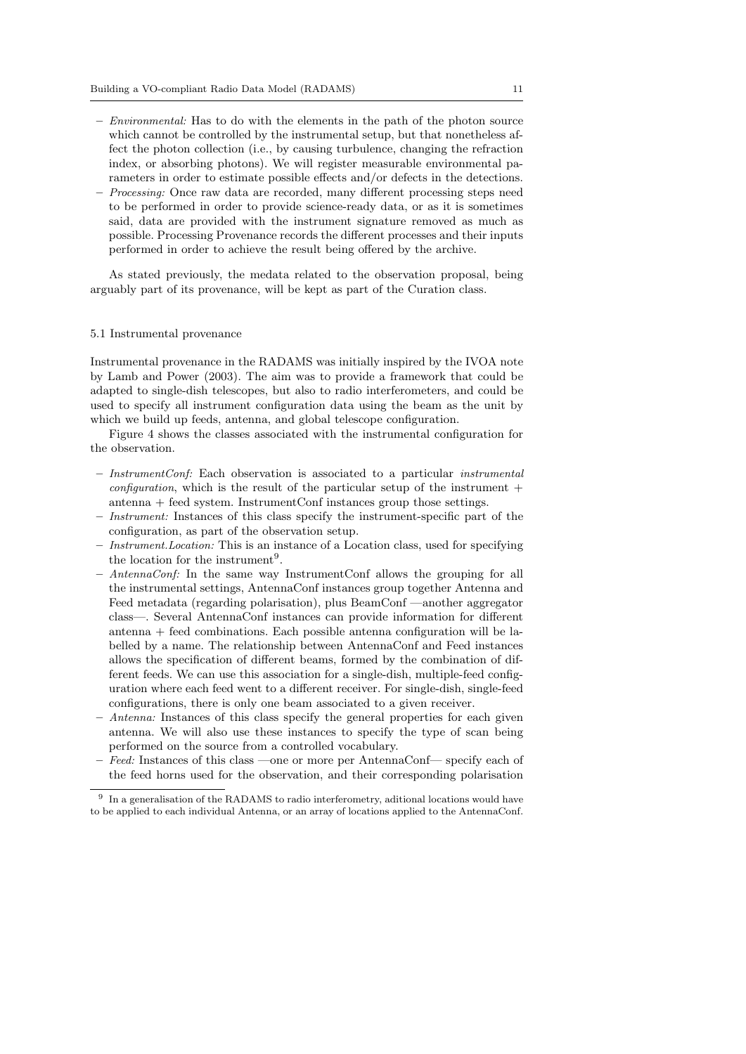- Environmental: Has to do with the elements in the path of the photon source which cannot be controlled by the instrumental setup, but that nonetheless affect the photon collection (i.e., by causing turbulence, changing the refraction index, or absorbing photons). We will register measurable environmental parameters in order to estimate possible effects and/or defects in the detections.
- Processing: Once raw data are recorded, many different processing steps need to be performed in order to provide science-ready data, or as it is sometimes said, data are provided with the instrument signature removed as much as possible. Processing Provenance records the different processes and their inputs performed in order to achieve the result being offered by the archive.

As stated previously, the medata related to the observation proposal, being arguably part of its provenance, will be kept as part of the Curation class.

# 5.1 Instrumental provenance

Instrumental provenance in the RADAMS was initially inspired by the IVOA note by Lamb and Power (2003). The aim was to provide a framework that could be adapted to single-dish telescopes, but also to radio interferometers, and could be used to specify all instrument configuration data using the beam as the unit by which we build up feeds, antenna, and global telescope configuration.

Figure 4 shows the classes associated with the instrumental configuration for the observation.

- $-$  InstrumentConf: Each observation is associated to a particular *instrumental configuration*, which is the result of the particular setup of the instrument  $+$ antenna + feed system. InstrumentConf instances group those settings.
- Instrument: Instances of this class specify the instrument-specific part of the configuration, as part of the observation setup.
- Instrument.Location: This is an instance of a Location class, used for specifying the location for the instrument<sup>9</sup>.
- AntennaConf: In the same way InstrumentConf allows the grouping for all the instrumental settings, AntennaConf instances group together Antenna and Feed metadata (regarding polarisation), plus BeamConf —another aggregator class—. Several AntennaConf instances can provide information for different antenna + feed combinations. Each possible antenna configuration will be labelled by a name. The relationship between AntennaConf and Feed instances allows the specification of different beams, formed by the combination of different feeds. We can use this association for a single-dish, multiple-feed configuration where each feed went to a different receiver. For single-dish, single-feed configurations, there is only one beam associated to a given receiver.
- Antenna: Instances of this class specify the general properties for each given antenna. We will also use these instances to specify the type of scan being performed on the source from a controlled vocabulary.
- Feed: Instances of this class —one or more per AntennaConf— specify each of the feed horns used for the observation, and their corresponding polarisation

<sup>9</sup> In a generalisation of the RADAMS to radio interferometry, aditional locations would have to be applied to each individual Antenna, or an array of locations applied to the AntennaConf.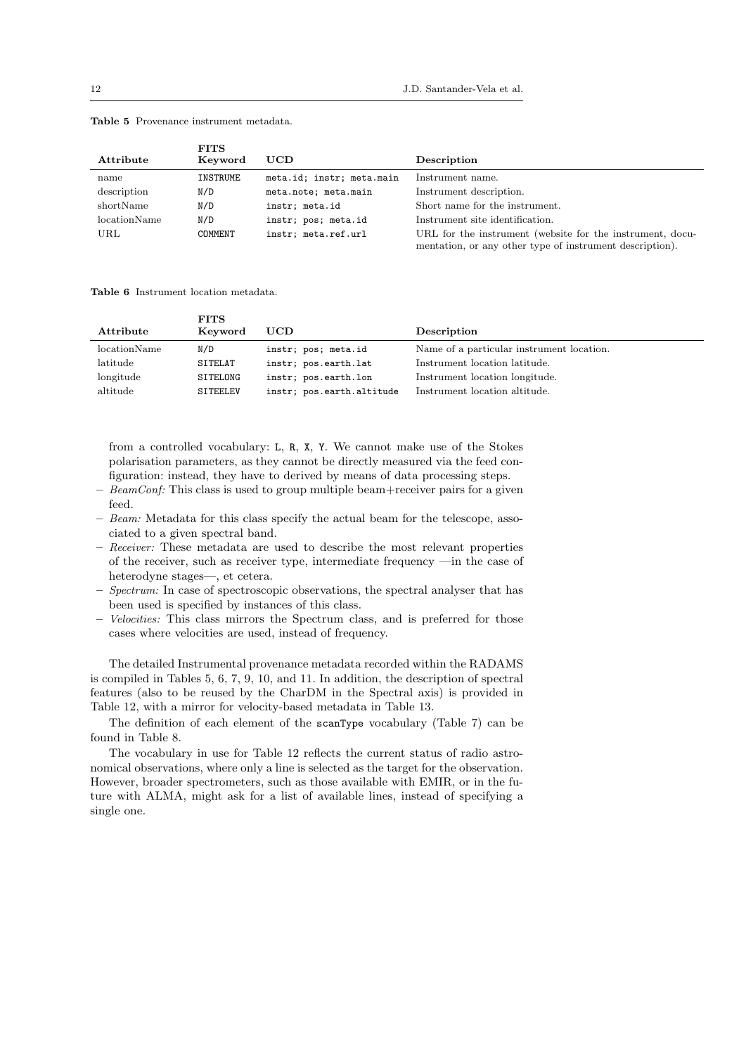|              | <b>FITS</b> |                           |                                                                                                                       |
|--------------|-------------|---------------------------|-----------------------------------------------------------------------------------------------------------------------|
| Attribute    | Keyword     | UCD                       | Description                                                                                                           |
| name         | INSTRUME    | meta.id; instr; meta.main | Instrument name.                                                                                                      |
| description  | N/D         | meta.note; meta.main      | Instrument description.                                                                                               |
| shortName    | N/D         | instr; meta.id            | Short name for the instrument.                                                                                        |
| locationName | N/D         | instr; pos; meta.id       | Instrument site identification.                                                                                       |
| URL          | COMMENT     | instr; meta.ref.url       | URL for the instrument (website for the instrument, docu-<br>mentation, or any other type of instrument description). |

#### Table 5 Provenance instrument metadata.

Table 6 Instrument location metadata.

| Attribute    | <b>FITS</b><br>Keyword | UCD                       | Description                               |
|--------------|------------------------|---------------------------|-------------------------------------------|
| locationName | N/D                    | instr; pos; meta.id       | Name of a particular instrument location. |
| latitude     | SITELAT                | instr; pos.earth.lat      | Instrument location latitude.             |
| longitude    | SITELONG               | instr; pos.earth.lon      | Instrument location longitude.            |
| altitude     | SITEELEV               | instr; pos.earth.altitude | Instrument location altitude.             |

from a controlled vocabulary: L, R, X, Y. We cannot make use of the Stokes polarisation parameters, as they cannot be directly measured via the feed configuration: instead, they have to derived by means of data processing steps.

- $-$  BeamConf: This class is used to group multiple beam+receiver pairs for a given feed.
- Beam: Metadata for this class specify the actual beam for the telescope, associated to a given spectral band.
- Receiver: These metadata are used to describe the most relevant properties of the receiver, such as receiver type, intermediate frequency —in the case of heterodyne stages—, et cetera.
- $-$  Spectrum: In case of spectroscopic observations, the spectral analyser that has been used is specified by instances of this class.
- Velocities: This class mirrors the Spectrum class, and is preferred for those cases where velocities are used, instead of frequency.

The detailed Instrumental provenance metadata recorded within the RADAMS is compiled in Tables 5, 6, 7, 9, 10, and 11. In addition, the description of spectral features (also to be reused by the CharDM in the Spectral axis) is provided in Table 12, with a mirror for velocity-based metadata in Table 13.

The definition of each element of the scanType vocabulary (Table 7) can be found in Table 8.

The vocabulary in use for Table 12 reflects the current status of radio astronomical observations, where only a line is selected as the target for the observation. However, broader spectrometers, such as those available with EMIR, or in the future with ALMA, might ask for a list of available lines, instead of specifying a single one.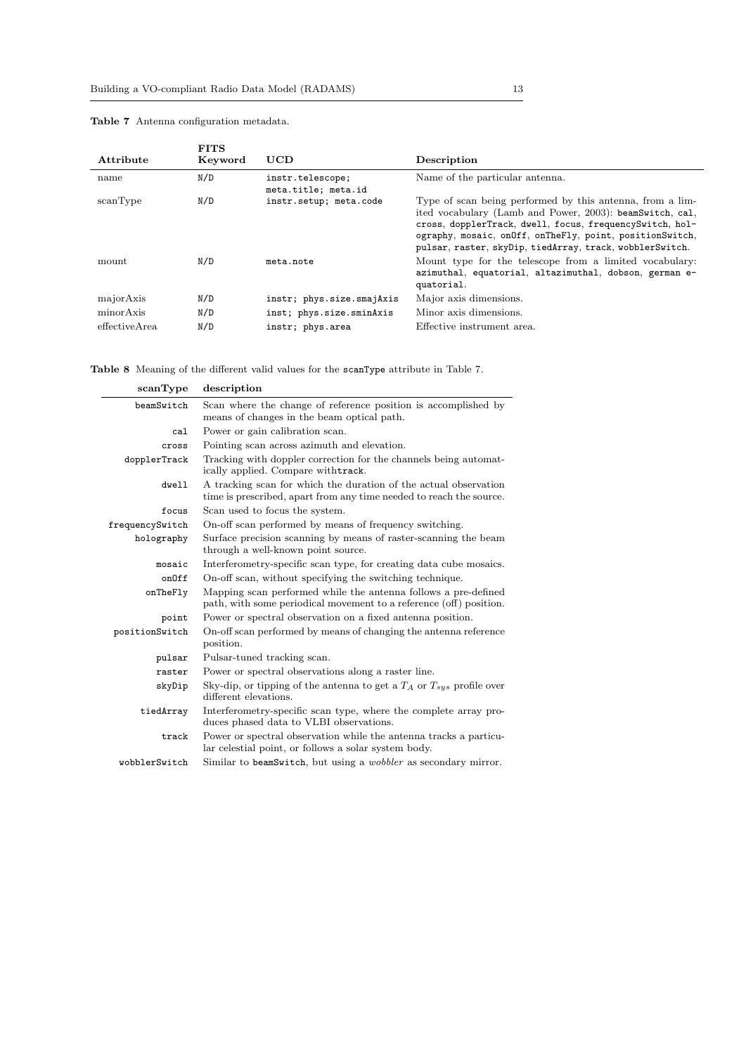| Attribute      | <b>FITS</b><br>Keyword | <b>UCD</b>                              | Description                                                                                                                                                                                                                                                                                               |
|----------------|------------------------|-----------------------------------------|-----------------------------------------------------------------------------------------------------------------------------------------------------------------------------------------------------------------------------------------------------------------------------------------------------------|
| name           | N/D                    | instr.telescope;<br>meta.title; meta.id | Name of the particular antenna.                                                                                                                                                                                                                                                                           |
| scanType       | N/D                    | instr.setup; meta.code                  | Type of scan being performed by this antenna, from a lim-<br>ited vocabulary (Lamb and Power, 2003): beamSwitch, cal,<br>cross, dopplerTrack, dwell, focus, frequencySwitch, hol-<br>ography, mosaic, onOff, onTheFly, point, positionSwitch,<br>pulsar, raster, skyDip, tiedArray, track, wobblerSwitch. |
| mount          | N/D                    | meta.note                               | Mount type for the telescope from a limited vocabulary.<br>azimuthal, equatorial, altazimuthal, dobson, german e-<br>quatorial.                                                                                                                                                                           |
| majorAxis      | N/D                    | instr; phys.size.smajAxis               | Major axis dimensions.                                                                                                                                                                                                                                                                                    |
| minorAxis      | N/D                    | inst; phys.size.sminAxis                | Minor axis dimensions.                                                                                                                                                                                                                                                                                    |
| effective Area | N/D                    | instr; phys.area                        | Effective instrument area.                                                                                                                                                                                                                                                                                |

Table 7 Antenna configuration metadata.

Table 8 Meaning of the different valid values for the scanType attribute in Table 7.

| scanType        | description                                                                                                                             |
|-----------------|-----------------------------------------------------------------------------------------------------------------------------------------|
| beamSwitch      | Scan where the change of reference position is accomplished by<br>means of changes in the beam optical path.                            |
| cal             | Power or gain calibration scan.                                                                                                         |
| cross           | Pointing scan across azimuth and elevation.                                                                                             |
| dopplerTrack    | Tracking with doppler correction for the channels being automat-<br>ically applied. Compare withtrack.                                  |
| dwe11           | A tracking scan for which the duration of the actual observation<br>time is prescribed, apart from any time needed to reach the source. |
| focus           | Scan used to focus the system.                                                                                                          |
| frequencySwitch | On-off scan performed by means of frequency switching.                                                                                  |
| holography      | Surface precision scanning by means of raster-scanning the beam<br>through a well-known point source.                                   |
| mosaic          | Interferometry-specific scan type, for creating data cube mosaics.                                                                      |
| onOff           | On-off scan, without specifying the switching technique.                                                                                |
| onTheFly        | Mapping scan performed while the antenna follows a pre-defined<br>path, with some periodical movement to a reference (off) position.    |
| point           | Power or spectral observation on a fixed antenna position.                                                                              |
| positionSwitch  | On-off scan performed by means of changing the antenna reference<br>position.                                                           |
| pulsar          | Pulsar-tuned tracking scan.                                                                                                             |
| raster          | Power or spectral observations along a raster line.                                                                                     |
| skyDip          | Sky-dip, or tipping of the antenna to get a $T_A$ or $T_{sus}$ profile over<br>different elevations.                                    |
| tiedArray       | Interferometry-specific scan type, where the complete array pro-<br>duces phased data to VLBI observations.                             |
| track           | Power or spectral observation while the antenna tracks a particu-<br>lar celestial point, or follows a solar system body.               |
| wobblerSwitch   | Similar to beamSwitch, but using a <i>wobbler</i> as secondary mirror.                                                                  |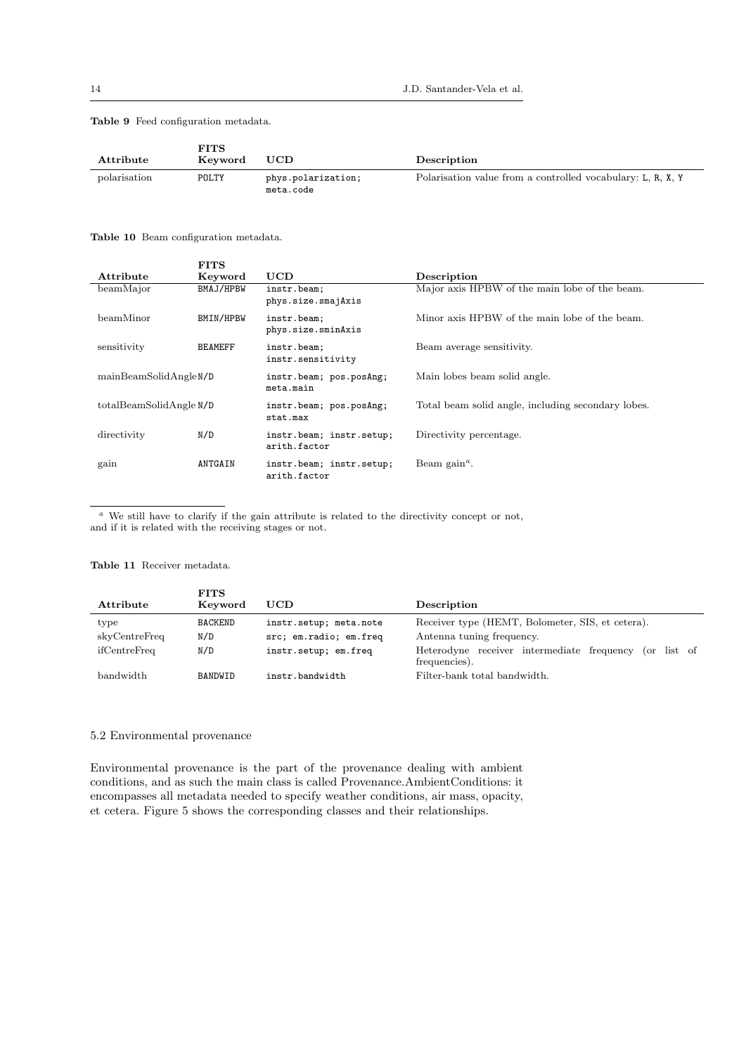Table 9 Feed configuration metadata.

| Attribute    | FITS<br>Keyword | UCD                             | Description                                                 |
|--------------|-----------------|---------------------------------|-------------------------------------------------------------|
| polarization | POLTY           | phys.polarization;<br>meta.code | Polarisation value from a controlled vocabulary: L, R, X, Y |

# Table 10 Beam configuration metadata.

 $F_{\rm T}$  $F_{\rm T}$  $G$ 

|                         |             | 11 I D         |                          |                                                    |
|-------------------------|-------------|----------------|--------------------------|----------------------------------------------------|
|                         | Attribute   | Keyword        | <b>UCD</b>               | Description                                        |
|                         | beamMajor   | BMAJ/HPBW      | instr.beam;              | Major axis HPBW of the main lobe of the beam.      |
|                         |             |                | phys.size.smajAxis       |                                                    |
|                         | beamMinor   | BMIN/HPBW      | instr.beam;              | Minor axis HPBW of the main lobe of the beam.      |
|                         |             |                | phys.size.sminAxis       |                                                    |
|                         | sensitivity | <b>BEAMEFF</b> | instr.beam;              | Beam average sensitivity.                          |
|                         |             |                | instr.sensitivity        |                                                    |
|                         |             |                | instr.beam; pos.posAng;  | Main lobes beam solid angle.                       |
| mainBeamSolidAngleN/D   |             |                | meta.main                |                                                    |
| totalBeamSolidAngle N/D |             |                | instr.beam; pos.posAng;  | Total beam solid angle, including secondary lobes. |
|                         |             |                | stat.max                 |                                                    |
|                         | directivity | N/D            | instr.beam; instr.setup; | Directivity percentage.                            |
|                         |             |                | arith.factor             |                                                    |
|                         | gain        | ANTGAIN        | instr.beam; instr.setup; | Beam gain <sup><math>a</math></sup> .              |
|                         |             |                | arith.factor             |                                                    |
|                         |             |                |                          |                                                    |

 $a$  We still have to clarify if the gain attribute is related to the directivity concept or not, and if it is related with the receiving stages or not.

#### Table 11 Receiver metadata.

 $F_{\rm F}$ 

| Attribute     | FIIS<br>Keyword | <b>UCD</b>             | Description                                                             |
|---------------|-----------------|------------------------|-------------------------------------------------------------------------|
|               |                 |                        |                                                                         |
| type          | <b>BACKEND</b>  | instr.setup; meta.note | Receiver type (HEMT, Bolometer, SIS, et cetera).                        |
| skyCentreFreq | N/D             | src; em.radio; em.freq | Antenna tuning frequency.                                               |
| ifCentreFreq  | N/D             | instr.setup; em.freq   | Heterodyne receiver intermediate frequency (or list of<br>frequencies). |
| bandwidth     | BANDWID         | instr.bandwidth        | Filter-bank total bandwidth.                                            |

# 5.2 Environmental provenance

Environmental provenance is the part of the provenance dealing with ambient conditions, and as such the main class is called Provenance.AmbientConditions: it encompasses all metadata needed to specify weather conditions, air mass, opacity, et cetera. Figure 5 shows the corresponding classes and their relationships.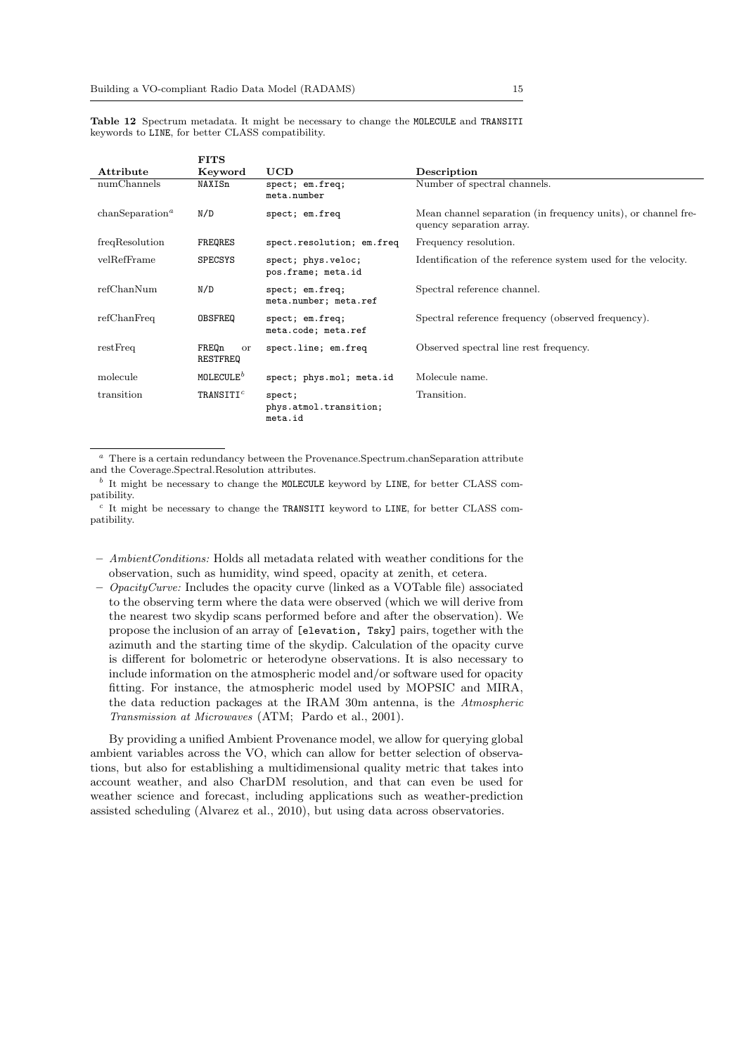Table 12 Spectrum metadata. It might be necessary to change the MOLECULE and TRANSITI keywords to LINE, for better CLASS compatibility.

|                             | <b>FITS</b>                    |                                             |                                                                                           |
|-----------------------------|--------------------------------|---------------------------------------------|-------------------------------------------------------------------------------------------|
| Attribute                   | Keyword                        | <b>UCD</b>                                  | Description                                                                               |
| numChannels                 | NAXISn                         | spect; em.freq;<br>meta.number              | Number of spectral channels.                                                              |
| chanSeparation <sup>a</sup> | N/D                            | spect; em.freq                              | Mean channel separation (in frequency units), or channel fre-<br>quency separation array. |
| freqResolution              | FREQRES                        | spect.resolution; em.freq                   | Frequency resolution.                                                                     |
| velRefFrame                 | <b>SPECSYS</b>                 | spect; phys.veloc;<br>pos.frame; meta.id    | Identification of the reference system used for the velocity.                             |
| refChanNum                  | N/D                            | spect; em.freq;<br>meta.number; meta.ref    | Spectral reference channel.                                                               |
| refChanFreq                 | OBSFREQ                        | spect; em.freq;<br>meta.code; meta.ref      | Spectral reference frequency (observed frequency).                                        |
| restFreq                    | FREQn<br><b>or</b><br>RESTFREQ | spect.line; em.freq                         | Observed spectral line rest frequency.                                                    |
| molecule                    | MOLECULE <sup>b</sup>          | spect; phys.mol; meta.id                    | Molecule name.                                                                            |
| transition                  | TRANSITI $^c$                  | spect;<br>phys.atmol.transition;<br>meta.id | Transition.                                                                               |

<sup>a</sup> There is a certain redundancy between the Provenance.Spectrum.chanSeparation attribute and the Coverage.Spectral.Resolution attributes.

 $b$  It might be necessary to change the MOLECULE keyword by LINE, for better CLASS compatibility.

 $c$  It might be necessary to change the TRANSITI keyword to LINE, for better CLASS compatibility.

- AmbientConditions: Holds all metadata related with weather conditions for the observation, such as humidity, wind speed, opacity at zenith, et cetera.
- $-$  *OpacityCurve:* Includes the opacity curve (linked as a VOTable file) associated to the observing term where the data were observed (which we will derive from the nearest two skydip scans performed before and after the observation). We propose the inclusion of an array of [elevation, Tsky] pairs, together with the azimuth and the starting time of the skydip. Calculation of the opacity curve is different for bolometric or heterodyne observations. It is also necessary to include information on the atmospheric model and/or software used for opacity fitting. For instance, the atmospheric model used by MOPSIC and MIRA, the data reduction packages at the IRAM 30m antenna, is the Atmospheric Transmission at Microwaves (ATM; Pardo et al., 2001).

By providing a unified Ambient Provenance model, we allow for querying global ambient variables across the VO, which can allow for better selection of observations, but also for establishing a multidimensional quality metric that takes into account weather, and also CharDM resolution, and that can even be used for weather science and forecast, including applications such as weather-prediction assisted scheduling (Alvarez et al., 2010), but using data across observatories.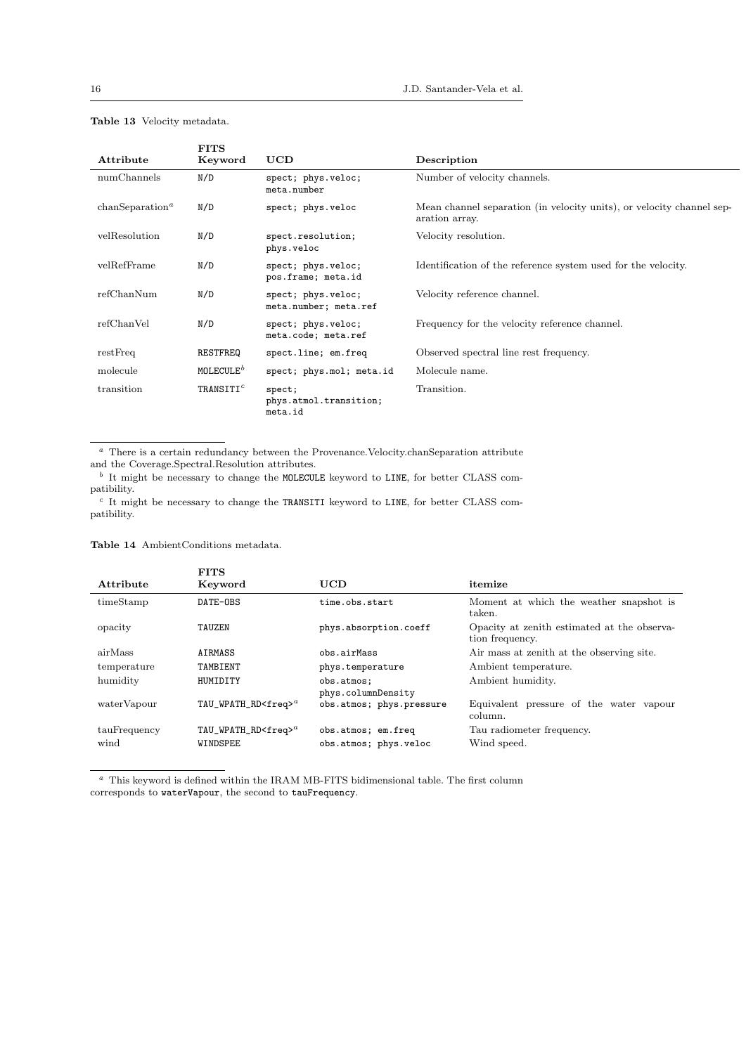|                             | <b>FITS</b>           |                                             |                                                                                         |
|-----------------------------|-----------------------|---------------------------------------------|-----------------------------------------------------------------------------------------|
| Attribute                   | Keyword               | <b>UCD</b>                                  | Description                                                                             |
| numChannels                 | N/D                   | spect; phys.veloc;<br>meta.number           | Number of velocity channels.                                                            |
| chanSeparation <sup>a</sup> | N/D                   | spect; phys.veloc                           | Mean channel separation (in velocity units), or velocity channel sep-<br>aration array. |
| velResolution               | N/D                   | spect.resolution;<br>phys.veloc             | Velocity resolution.                                                                    |
| velRefFrame                 | N/D                   | spect; phys.veloc;<br>pos.frame; meta.id    | Identification of the reference system used for the velocity.                           |
| refChanNum                  | N/D                   | spect; phys.veloc;<br>meta.number; meta.ref | Velocity reference channel.                                                             |
| refChanVel                  | N/D                   | spect; phys.veloc;<br>meta.code; meta.ref   | Frequency for the velocity reference channel.                                           |
| restFreq                    | RESTFREQ              | spect.line; em.freq                         | Observed spectral line rest frequency.                                                  |
| molecule                    | MOLECULE <sup>b</sup> | spect; phys.mol; meta.id                    | Molecule name.                                                                          |
| transition                  | TRANSITI $^c$         | spect;<br>phys.atmol.transition;<br>meta.id | Transition.                                                                             |

# Table 13 Velocity metadata.

 $\,^a\,$  There is a certain redundancy between the Provenance.<br>Velocity.chan<br/>Separation attribute and the Coverage.Spectral.Resolution attributes.

 $b$  It might be necessary to change the MOLECULE keyword to LINE, for better CLASS compatibility.

 $c$  It might be necessary to change the TRANSITI keyword to LINE, for better CLASS compatibility.

### Table 14 AmbientConditions metadata.

| Attribute    | <b>FITS</b><br>Keyword       | UCD                                            | itemize                                                        |
|--------------|------------------------------|------------------------------------------------|----------------------------------------------------------------|
| timeStamp    | DATE-OBS                     | time.obs.start                                 | Moment at which the weather snapshot is<br>taken.              |
| opacity      | TAUZEN                       | phys.absorption.coeff                          | Opacity at zenith estimated at the observa-<br>tion frequency. |
| airMass      | AIRMASS                      | obs.airMass                                    | Air mass at zenith at the observing site.                      |
| temperature  | TAMBIENT                     | phys.temperature                               | Ambient temperature.                                           |
| humidity     | HUMIDITY                     | obs.atmos:                                     | Ambient humidity.                                              |
| waterVapour  | $TAU_WPATH_RD \leq freq > a$ | phys.columnDensity<br>obs.atmos; phys.pressure | Equivalent pressure of the water vapour<br>column.             |
| tauFrequency | $TAU_WPATH_RD \leq freq$     | obs.atmos; em.freq                             | Tau radiometer frequency.                                      |
| wind         | <b>WINDSPEE</b>              | obs.atmos; phys.veloc                          | Wind speed.                                                    |

 $a$  This keyword is defined within the IRAM MB-FITS bidimensional table. The first column corresponds to waterVapour, the second to tauFrequency.

l,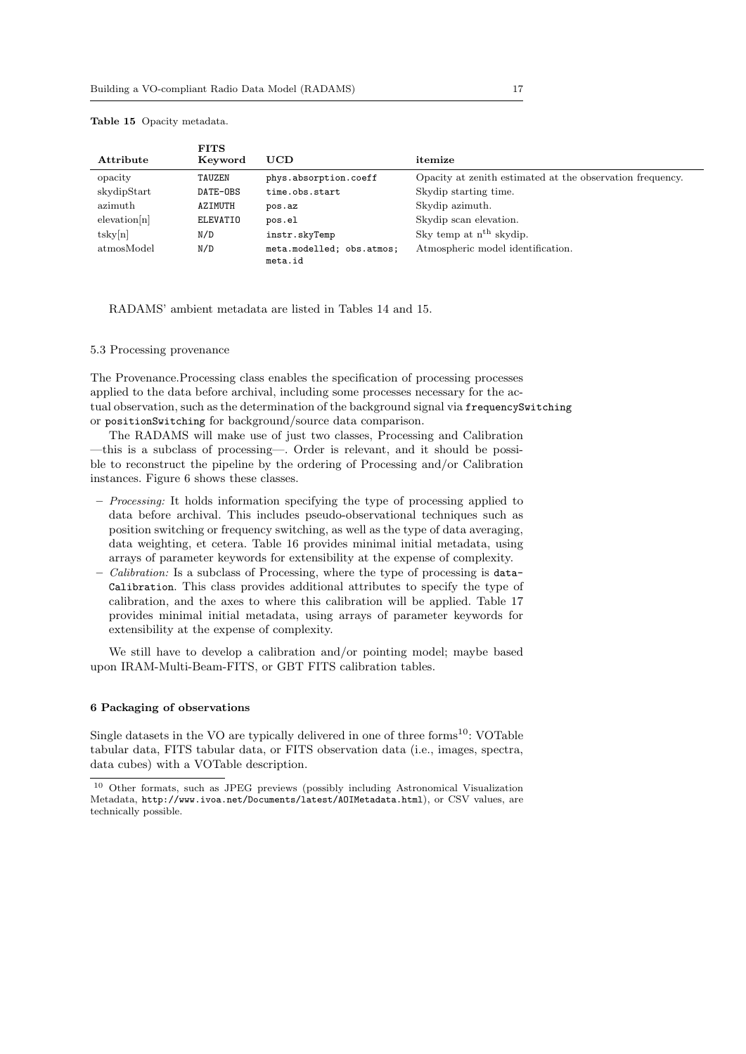| Attribute    | <b>FITS</b><br>Keyword | UCD                                  | itemize                                                   |
|--------------|------------------------|--------------------------------------|-----------------------------------------------------------|
| opacity      | TAUZEN                 | phys.absorption.coeff                | Opacity at zenith estimated at the observation frequency. |
| skydipStart  | DATE-OBS               | time.obs.start                       | Skydip starting time.                                     |
| azimuth      | AZIMUTH                | pos.az                               | Skydip azimuth.                                           |
| elevation[n] | ELEVATIO               | pos.el                               | Skydip scan elevation.                                    |
| tsky[n]      | N/D                    | instr.skyTemp                        | Sky temp at n <sup>th</sup> skydip.                       |
| atmosModel   | N/D                    | meta.modelled; obs.atmos;<br>meta.id | Atmospheric model identification.                         |

#### Table 15 Opacity metadata.

### RADAMS' ambient metadata are listed in Tables 14 and 15.

# 5.3 Processing provenance

The Provenance.Processing class enables the specification of processing processes applied to the data before archival, including some processes necessary for the actual observation, such as the determination of the background signal via frequencySwitching or positionSwitching for background/source data comparison.

The RADAMS will make use of just two classes, Processing and Calibration —this is a subclass of processing—. Order is relevant, and it should be possible to reconstruct the pipeline by the ordering of Processing and/or Calibration instances. Figure 6 shows these classes.

- Processing: It holds information specifying the type of processing applied to data before archival. This includes pseudo-observational techniques such as position switching or frequency switching, as well as the type of data averaging, data weighting, et cetera. Table 16 provides minimal initial metadata, using arrays of parameter keywords for extensibility at the expense of complexity.
- $-$  *Calibration:* Is a subclass of Processing, where the type of processing is data-Calibration. This class provides additional attributes to specify the type of calibration, and the axes to where this calibration will be applied. Table 17 provides minimal initial metadata, using arrays of parameter keywords for extensibility at the expense of complexity.

We still have to develop a calibration and/or pointing model; maybe based upon IRAM-Multi-Beam-FITS, or GBT FITS calibration tables.

# 6 Packaging of observations

Single datasets in the VO are typically delivered in one of three forms<sup>10</sup>: VOTable tabular data, FITS tabular data, or FITS observation data (i.e., images, spectra, data cubes) with a VOTable description.

<sup>10</sup> Other formats, such as JPEG previews (possibly including Astronomical Visualization Metadata, http://www.ivoa.net/Documents/latest/AOIMetadata.html), or CSV values, are technically possible.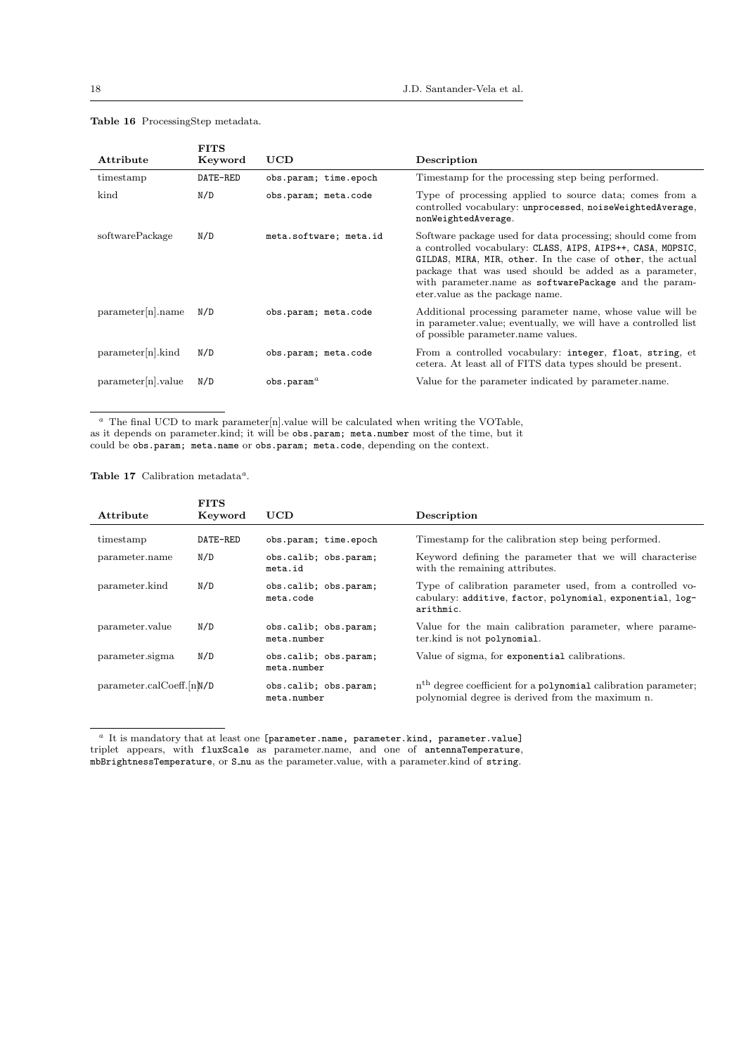| Attribute            | <b>FITS</b><br>Keyword | UCD                    | Description                                                                                                                                                                                                                                                                                                                                    |
|----------------------|------------------------|------------------------|------------------------------------------------------------------------------------------------------------------------------------------------------------------------------------------------------------------------------------------------------------------------------------------------------------------------------------------------|
| timestamp            | DATE-RED               | obs.param; time.epoch  | Timestamp for the processing step being performed.                                                                                                                                                                                                                                                                                             |
| kind                 | N/D                    | obs.param; meta.code   | Type of processing applied to source data; comes from a<br>controlled vocabulary: unprocessed, noiseWeightedAverage,<br>nonWeightedAverage.                                                                                                                                                                                                    |
| softwarePackage      | N/D                    | meta.software; meta.id | Software package used for data processing; should come from<br>a controlled vocabulary: CLASS, AIPS, AIPS++, CASA, MOPSIC,<br>GILDAS, MIRA, MIR, other. In the case of other, the actual<br>package that was used should be added as a parameter,<br>with parameter name as software Package and the param-<br>eter value as the package name. |
| parameter[n].name    | N/D                    | obs.param; meta.code   | Additional processing parameter name, whose value will be<br>in parameter value; eventually, we will have a controlled list<br>of possible parameter name values.                                                                                                                                                                              |
| $parameter[n].$ kind | N/D                    | obs.param; meta.code   | From a controlled vocabulary: integer, float, string, et<br>cetera. At least all of FITS data types should be present.                                                                                                                                                                                                                         |
| parameter[n].value   | N/D                    | $obs.$ param $^a$      | Value for the parameter indicated by parameter name.                                                                                                                                                                                                                                                                                           |

# Table 16 ProcessingStep metadata.

 $a$  The final UCD to mark parameter[n].value will be calculated when writing the VOTable, as it depends on parameter.kind; it will be obs.param; meta.number most of the time, but it could be obs.param; meta.name or obs.param; meta.code, depending on the context.

Table 17 Calibration metadata<sup>a</sup>.

| Attribute                | <b>FITS</b><br>Keyword | UCD                                  | Description                                                                                                                         |
|--------------------------|------------------------|--------------------------------------|-------------------------------------------------------------------------------------------------------------------------------------|
| timestamp                | DATE-RED               | obs.param; time.epoch                | Timestamp for the calibration step being performed.                                                                                 |
| parameter.name           | N/D                    | obs.calib; obs.param;<br>meta.id     | Keyword defining the parameter that we will characterise<br>with the remaining attributes.                                          |
| parameter.kind           | N/D                    | obs.calib; obs.param;<br>meta.code   | Type of calibration parameter used, from a controlled vo-<br>cabulary: additive, factor, polynomial, exponential, log-<br>arithmic. |
| parameter.value          | N/D                    | obs.calib; obs.param;<br>meta.number | Value for the main calibration parameter, where parame-<br>ter.kind is not polynomial.                                              |
| parameter.sigma          | N/D                    | obs.calib; obs.param;<br>meta.number | Value of sigma, for exponential calibrations.                                                                                       |
| parameter.calCoeff.[n]MD |                        | obs.calib; obs.param;<br>meta.number | n <sup>th</sup> degree coefficient for a polynomial calibration parameter;<br>polynomial degree is derived from the maximum n.      |

<sup>a</sup> It is mandatory that at least one [parameter.name, parameter.kind, parameter.value] triplet appears, with fluxScale as parameter.name, and one of antennaTemperature, mbBrightnessTemperature, or S nu as the parameter.value, with a parameter.kind of string.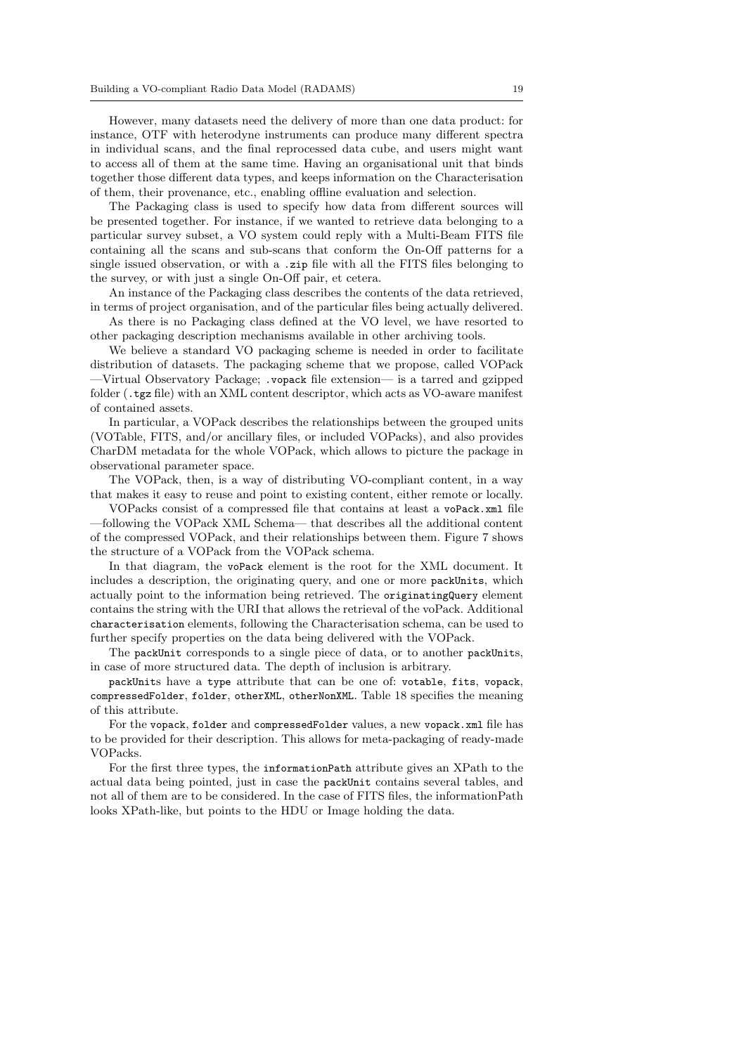However, many datasets need the delivery of more than one data product: for instance, OTF with heterodyne instruments can produce many different spectra in individual scans, and the final reprocessed data cube, and users might want to access all of them at the same time. Having an organisational unit that binds together those different data types, and keeps information on the Characterisation of them, their provenance, etc., enabling offline evaluation and selection.

The Packaging class is used to specify how data from different sources will be presented together. For instance, if we wanted to retrieve data belonging to a particular survey subset, a VO system could reply with a Multi-Beam FITS file containing all the scans and sub-scans that conform the On-Off patterns for a single issued observation, or with a .zip file with all the FITS files belonging to the survey, or with just a single On-Off pair, et cetera.

An instance of the Packaging class describes the contents of the data retrieved, in terms of project organisation, and of the particular files being actually delivered.

As there is no Packaging class defined at the VO level, we have resorted to other packaging description mechanisms available in other archiving tools.

We believe a standard VO packaging scheme is needed in order to facilitate distribution of datasets. The packaging scheme that we propose, called VOPack —Virtual Observatory Package; .vopack file extension— is a tarred and gzipped folder (.tgz file) with an XML content descriptor, which acts as VO-aware manifest of contained assets.

In particular, a VOPack describes the relationships between the grouped units (VOTable, FITS, and/or ancillary files, or included VOPacks), and also provides CharDM metadata for the whole VOPack, which allows to picture the package in observational parameter space.

The VOPack, then, is a way of distributing VO-compliant content, in a way that makes it easy to reuse and point to existing content, either remote or locally.

VOPacks consist of a compressed file that contains at least a voPack.xml file —following the VOPack XML Schema— that describes all the additional content of the compressed VOPack, and their relationships between them. Figure 7 shows the structure of a VOPack from the VOPack schema.

In that diagram, the voPack element is the root for the XML document. It includes a description, the originating query, and one or more packUnits, which actually point to the information being retrieved. The originatingQuery element contains the string with the URI that allows the retrieval of the voPack. Additional characterisation elements, following the Characterisation schema, can be used to further specify properties on the data being delivered with the VOPack.

The packUnit corresponds to a single piece of data, or to another packUnits, in case of more structured data. The depth of inclusion is arbitrary.

packUnits have a type attribute that can be one of: votable, fits, vopack, compressedFolder, folder, otherXML, otherNonXML. Table 18 specifies the meaning of this attribute.

For the vopack, folder and compressedFolder values, a new vopack.xml file has to be provided for their description. This allows for meta-packaging of ready-made VOPacks.

For the first three types, the informationPath attribute gives an XPath to the actual data being pointed, just in case the packUnit contains several tables, and not all of them are to be considered. In the case of FITS files, the informationPath looks XPath-like, but points to the HDU or Image holding the data.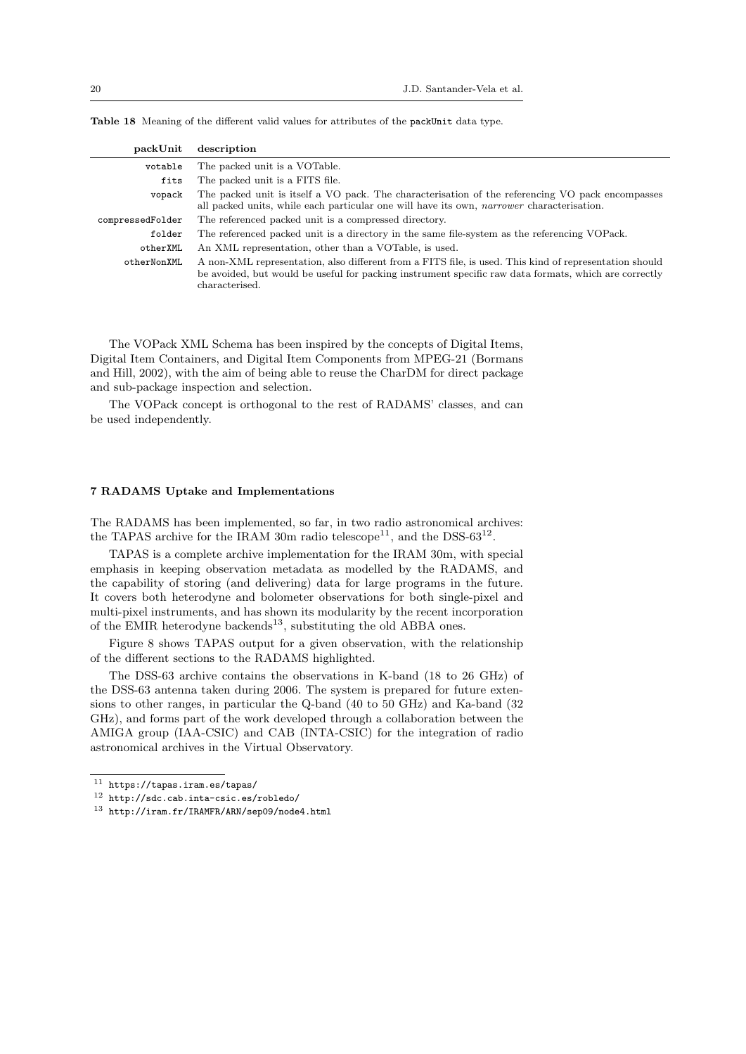| packUnit         | description                                                                                                                                                                                                                       |
|------------------|-----------------------------------------------------------------------------------------------------------------------------------------------------------------------------------------------------------------------------------|
| votable          | The packed unit is a VOTable.                                                                                                                                                                                                     |
| fits             | The packed unit is a FITS file.                                                                                                                                                                                                   |
| vopack           | The packed unit is itself a VO pack. The characterisation of the referencing VO pack encompasses<br>all packed units, while each particular one will have its own, <i>narrower</i> characterisation.                              |
| compressedFolder | The referenced packed unit is a compressed directory.                                                                                                                                                                             |
| folder           | The referenced packed unit is a directory in the same file-system as the referencing VOPack.                                                                                                                                      |
| otherXML         | An XML representation, other than a VOTable, is used.                                                                                                                                                                             |
| otherNonXML      | A non-XML representation, also different from a FITS file, is used. This kind of representation should<br>be avoided, but would be useful for packing instrument specific raw data formats, which are correctly<br>characterised. |

Table 18 Meaning of the different valid values for attributes of the packUnit data type.

The VOPack XML Schema has been inspired by the concepts of Digital Items, Digital Item Containers, and Digital Item Components from MPEG-21 (Bormans and Hill, 2002), with the aim of being able to reuse the CharDM for direct package and sub-package inspection and selection.

The VOPack concept is orthogonal to the rest of RADAMS' classes, and can be used independently.

### 7 RADAMS Uptake and Implementations

The RADAMS has been implemented, so far, in two radio astronomical archives: the TAPAS archive for the IRAM 30m radio telescope<sup>11</sup>, and the DSS-63<sup>12</sup>.

TAPAS is a complete archive implementation for the IRAM 30m, with special emphasis in keeping observation metadata as modelled by the RADAMS, and the capability of storing (and delivering) data for large programs in the future. It covers both heterodyne and bolometer observations for both single-pixel and multi-pixel instruments, and has shown its modularity by the recent incorporation of the EMIR heterodyne backends<sup>13</sup>, substituting the old ABBA ones.

Figure 8 shows TAPAS output for a given observation, with the relationship of the different sections to the RADAMS highlighted.

The DSS-63 archive contains the observations in K-band (18 to 26 GHz) of the DSS-63 antenna taken during 2006. The system is prepared for future extensions to other ranges, in particular the Q-band (40 to 50 GHz) and Ka-band (32 GHz), and forms part of the work developed through a collaboration between the AMIGA group (IAA-CSIC) and CAB (INTA-CSIC) for the integration of radio astronomical archives in the Virtual Observatory.

 $11$  https://tapas.iram.es/tapas/

<sup>12</sup> http://sdc.cab.inta-csic.es/robledo/

 $^{13}$ http://iram.fr/IRAMFR/ARN/sep09/node4.html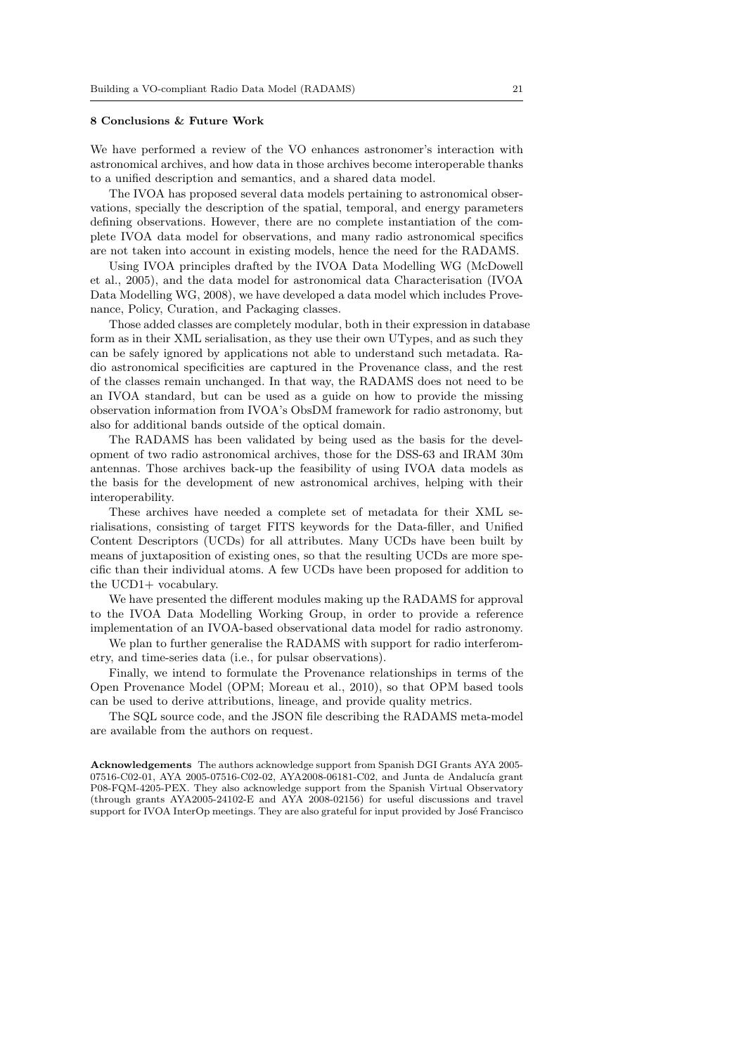#### 8 Conclusions & Future Work

We have performed a review of the VO enhances astronomer's interaction with astronomical archives, and how data in those archives become interoperable thanks to a unified description and semantics, and a shared data model.

The IVOA has proposed several data models pertaining to astronomical observations, specially the description of the spatial, temporal, and energy parameters defining observations. However, there are no complete instantiation of the complete IVOA data model for observations, and many radio astronomical specifics are not taken into account in existing models, hence the need for the RADAMS.

Using IVOA principles drafted by the IVOA Data Modelling WG (McDowell et al., 2005), and the data model for astronomical data Characterisation (IVOA Data Modelling WG, 2008), we have developed a data model which includes Provenance, Policy, Curation, and Packaging classes.

Those added classes are completely modular, both in their expression in database form as in their XML serialisation, as they use their own UTypes, and as such they can be safely ignored by applications not able to understand such metadata. Radio astronomical specificities are captured in the Provenance class, and the rest of the classes remain unchanged. In that way, the RADAMS does not need to be an IVOA standard, but can be used as a guide on how to provide the missing observation information from IVOA's ObsDM framework for radio astronomy, but also for additional bands outside of the optical domain.

The RADAMS has been validated by being used as the basis for the development of two radio astronomical archives, those for the DSS-63 and IRAM 30m antennas. Those archives back-up the feasibility of using IVOA data models as the basis for the development of new astronomical archives, helping with their interoperability.

These archives have needed a complete set of metadata for their XML serialisations, consisting of target FITS keywords for the Data-filler, and Unified Content Descriptors (UCDs) for all attributes. Many UCDs have been built by means of juxtaposition of existing ones, so that the resulting UCDs are more specific than their individual atoms. A few UCDs have been proposed for addition to the UCD1+ vocabulary.

We have presented the different modules making up the RADAMS for approval to the IVOA Data Modelling Working Group, in order to provide a reference implementation of an IVOA-based observational data model for radio astronomy.

We plan to further generalise the RADAMS with support for radio interferometry, and time-series data (i.e., for pulsar observations).

Finally, we intend to formulate the Provenance relationships in terms of the Open Provenance Model (OPM; Moreau et al., 2010), so that OPM based tools can be used to derive attributions, lineage, and provide quality metrics.

The SQL source code, and the JSON file describing the RADAMS meta-model are available from the authors on request.

Acknowledgements The authors acknowledge support from Spanish DGI Grants AYA 2005- 07516-C02-01, AYA 2005-07516-C02-02, AYA2008-06181-C02, and Junta de Andalucía grant P08-FQM-4205-PEX. They also acknowledge support from the Spanish Virtual Observatory (through grants AYA2005-24102-E and AYA 2008-02156) for useful discussions and travel support for IVOA InterOp meetings. They are also grateful for input provided by José Francisco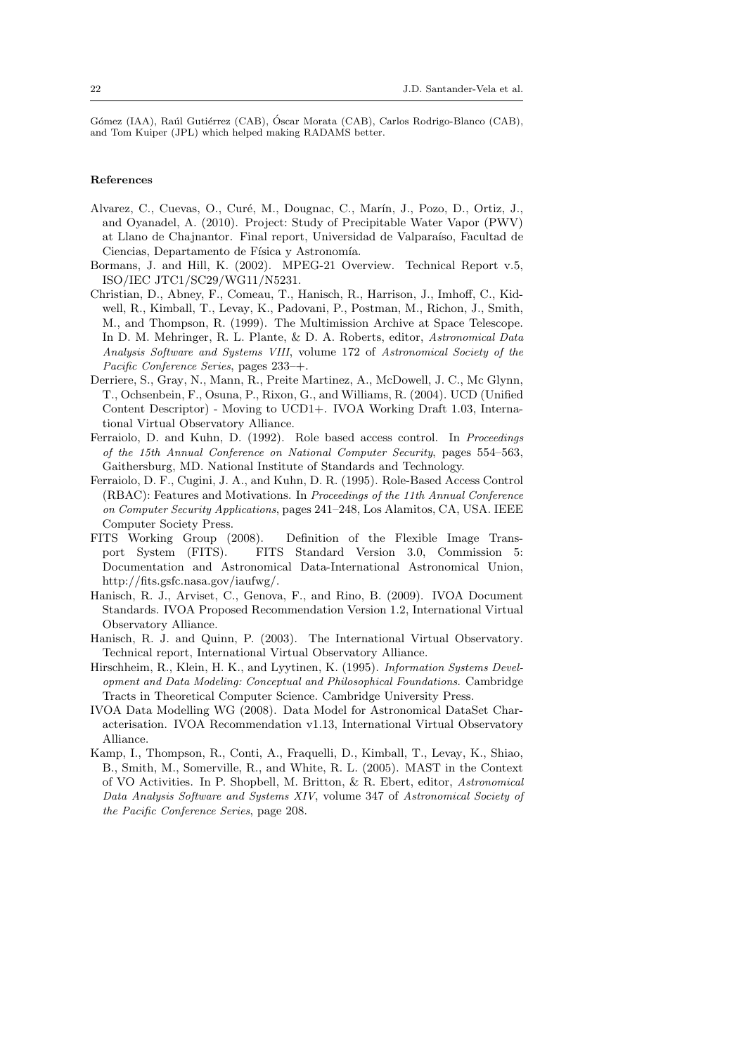Gómez (IAA), Raúl Gutiérrez (CAB), Óscar Morata (CAB), Carlos Rodrigo-Blanco (CAB), and Tom Kuiper (JPL) which helped making RADAMS better.

# References

- Alvarez, C., Cuevas, O., Curé, M., Dougnac, C., Marín, J., Pozo, D., Ortiz, J., and Oyanadel, A. (2010). Project: Study of Precipitable Water Vapor (PWV) at Llano de Chajnantor. Final report, Universidad de Valparaíso, Facultad de Ciencias, Departamento de Física y Astronomía.
- Bormans, J. and Hill, K. (2002). MPEG-21 Overview. Technical Report v.5, ISO/IEC JTC1/SC29/WG11/N5231.
- Christian, D., Abney, F., Comeau, T., Hanisch, R., Harrison, J., Imhoff, C., Kidwell, R., Kimball, T., Levay, K., Padovani, P., Postman, M., Richon, J., Smith, M., and Thompson, R. (1999). The Multimission Archive at Space Telescope. In D. M. Mehringer, R. L. Plante, & D. A. Roberts, editor, Astronomical Data Analysis Software and Systems VIII, volume 172 of Astronomical Society of the Pacific Conference Series, pages 233–+.
- Derriere, S., Gray, N., Mann, R., Preite Martinez, A., McDowell, J. C., Mc Glynn, T., Ochsenbein, F., Osuna, P., Rixon, G., and Williams, R. (2004). UCD (Unified Content Descriptor) - Moving to UCD1+. IVOA Working Draft 1.03, International Virtual Observatory Alliance.
- Ferraiolo, D. and Kuhn, D. (1992). Role based access control. In Proceedings of the 15th Annual Conference on National Computer Security, pages 554–563, Gaithersburg, MD. National Institute of Standards and Technology.
- Ferraiolo, D. F., Cugini, J. A., and Kuhn, D. R. (1995). Role-Based Access Control (RBAC): Features and Motivations. In Proceedings of the 11th Annual Conference on Computer Security Applications, pages 241–248, Los Alamitos, CA, USA. IEEE Computer Society Press.
- FITS Working Group (2008). Definition of the Flexible Image Transport System (FITS). FITS Standard Version 3.0, Commission 5: Documentation and Astronomical Data-International Astronomical Union, http://fits.gsfc.nasa.gov/iaufwg/.
- Hanisch, R. J., Arviset, C., Genova, F., and Rino, B. (2009). IVOA Document Standards. IVOA Proposed Recommendation Version 1.2, International Virtual Observatory Alliance.
- Hanisch, R. J. and Quinn, P. (2003). The International Virtual Observatory. Technical report, International Virtual Observatory Alliance.
- Hirschheim, R., Klein, H. K., and Lyytinen, K. (1995). Information Systems Development and Data Modeling: Conceptual and Philosophical Foundations. Cambridge Tracts in Theoretical Computer Science. Cambridge University Press.
- IVOA Data Modelling WG (2008). Data Model for Astronomical DataSet Characterisation. IVOA Recommendation v1.13, International Virtual Observatory Alliance.
- Kamp, I., Thompson, R., Conti, A., Fraquelli, D., Kimball, T., Levay, K., Shiao, B., Smith, M., Somerville, R., and White, R. L. (2005). MAST in the Context of VO Activities. In P. Shopbell, M. Britton, & R. Ebert, editor, Astronomical Data Analysis Software and Systems XIV, volume 347 of Astronomical Society of the Pacific Conference Series, page 208.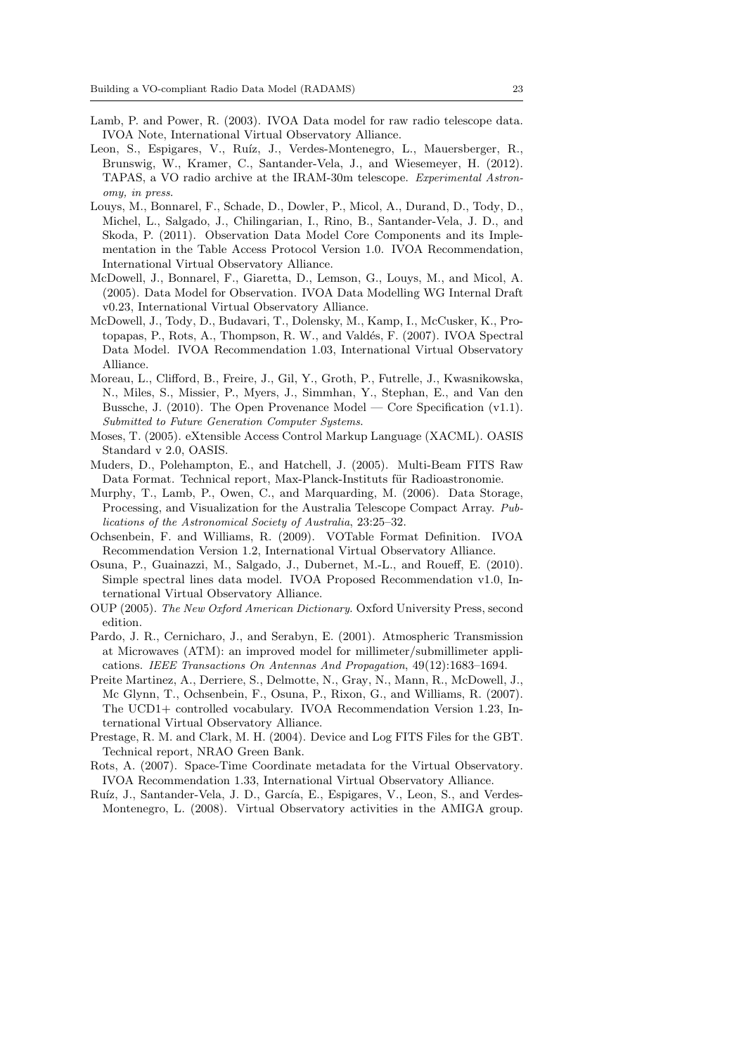- Lamb, P. and Power, R. (2003). IVOA Data model for raw radio telescope data. IVOA Note, International Virtual Observatory Alliance.
- Leon, S., Espigares, V., Ruíz, J., Verdes-Montenegro, L., Mauersberger, R., Brunswig, W., Kramer, C., Santander-Vela, J., and Wiesemeyer, H. (2012). TAPAS, a VO radio archive at the IRAM-30m telescope. Experimental Astronomy, in press.
- Louys, M., Bonnarel, F., Schade, D., Dowler, P., Micol, A., Durand, D., Tody, D., Michel, L., Salgado, J., Chilingarian, I., Rino, B., Santander-Vela, J. D., and Skoda, P. (2011). Observation Data Model Core Components and its Implementation in the Table Access Protocol Version 1.0. IVOA Recommendation, International Virtual Observatory Alliance.
- McDowell, J., Bonnarel, F., Giaretta, D., Lemson, G., Louys, M., and Micol, A. (2005). Data Model for Observation. IVOA Data Modelling WG Internal Draft v0.23, International Virtual Observatory Alliance.
- McDowell, J., Tody, D., Budavari, T., Dolensky, M., Kamp, I., McCusker, K., Protopapas, P., Rots, A., Thompson, R. W., and Valdés, F. (2007). IVOA Spectral Data Model. IVOA Recommendation 1.03, International Virtual Observatory Alliance.
- Moreau, L., Clifford, B., Freire, J., Gil, Y., Groth, P., Futrelle, J., Kwasnikowska, N., Miles, S., Missier, P., Myers, J., Simmhan, Y., Stephan, E., and Van den Bussche, J. (2010). The Open Provenance Model — Core Specification  $(v1.1)$ . Submitted to Future Generation Computer Systems.
- Moses, T. (2005). eXtensible Access Control Markup Language (XACML). OASIS Standard v 2.0, OASIS.
- Muders, D., Polehampton, E., and Hatchell, J. (2005). Multi-Beam FITS Raw Data Format. Technical report, Max-Planck-Instituts für Radioastronomie.
- Murphy, T., Lamb, P., Owen, C., and Marquarding, M. (2006). Data Storage, Processing, and Visualization for the Australia Telescope Compact Array. Publications of the Astronomical Society of Australia, 23:25–32.
- Ochsenbein, F. and Williams, R. (2009). VOTable Format Definition. IVOA Recommendation Version 1.2, International Virtual Observatory Alliance.
- Osuna, P., Guainazzi, M., Salgado, J., Dubernet, M.-L., and Roueff, E. (2010). Simple spectral lines data model. IVOA Proposed Recommendation v1.0, International Virtual Observatory Alliance.
- OUP (2005). The New Oxford American Dictionary. Oxford University Press, second edition.
- Pardo, J. R., Cernicharo, J., and Serabyn, E. (2001). Atmospheric Transmission at Microwaves (ATM): an improved model for millimeter/submillimeter applications. IEEE Transactions On Antennas And Propagation, 49(12):1683–1694.
- Preite Martinez, A., Derriere, S., Delmotte, N., Gray, N., Mann, R., McDowell, J., Mc Glynn, T., Ochsenbein, F., Osuna, P., Rixon, G., and Williams, R. (2007). The UCD1+ controlled vocabulary. IVOA Recommendation Version 1.23, International Virtual Observatory Alliance.
- Prestage, R. M. and Clark, M. H. (2004). Device and Log FITS Files for the GBT. Technical report, NRAO Green Bank.
- Rots, A. (2007). Space-Time Coordinate metadata for the Virtual Observatory. IVOA Recommendation 1.33, International Virtual Observatory Alliance.
- Ruíz, J., Santander-Vela, J. D., García, E., Espigares, V., Leon, S., and Verdes-Montenegro, L. (2008). Virtual Observatory activities in the AMIGA group.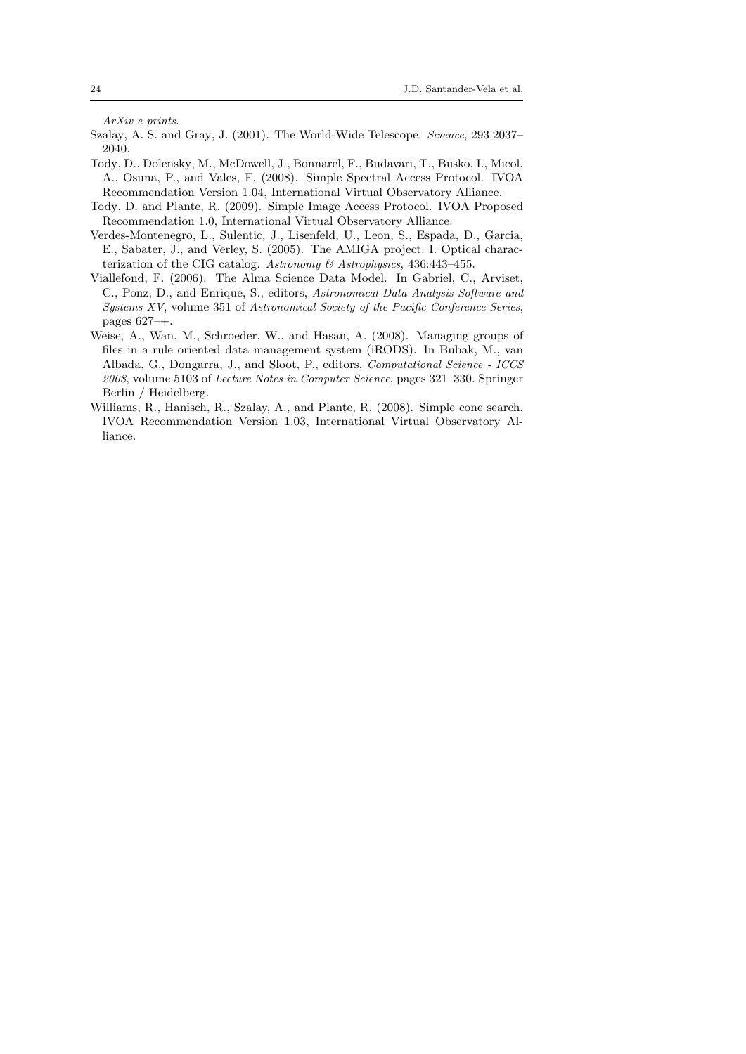ArXiv e-prints.

- Szalay, A. S. and Gray, J. (2001). The World-Wide Telescope. Science, 293:2037– 2040.
- Tody, D., Dolensky, M., McDowell, J., Bonnarel, F., Budavari, T., Busko, I., Micol, A., Osuna, P., and Vales, F. (2008). Simple Spectral Access Protocol. IVOA Recommendation Version 1.04, International Virtual Observatory Alliance.
- Tody, D. and Plante, R. (2009). Simple Image Access Protocol. IVOA Proposed Recommendation 1.0, International Virtual Observatory Alliance.
- Verdes-Montenegro, L., Sulentic, J., Lisenfeld, U., Leon, S., Espada, D., Garcia, E., Sabater, J., and Verley, S. (2005). The AMIGA project. I. Optical characterization of the CIG catalog. Astronomy & Astrophysics, 436:443–455.
- Viallefond, F. (2006). The Alma Science Data Model. In Gabriel, C., Arviset, C., Ponz, D., and Enrique, S., editors, Astronomical Data Analysis Software and Systems XV, volume 351 of Astronomical Society of the Pacific Conference Series, pages 627–+.
- Weise, A., Wan, M., Schroeder, W., and Hasan, A. (2008). Managing groups of files in a rule oriented data management system (iRODS). In Bubak, M., van Albada, G., Dongarra, J., and Sloot, P., editors, Computational Science - ICCS 2008, volume 5103 of Lecture Notes in Computer Science, pages 321–330. Springer Berlin / Heidelberg.
- Williams, R., Hanisch, R., Szalay, A., and Plante, R. (2008). Simple cone search. IVOA Recommendation Version 1.03, International Virtual Observatory Alliance.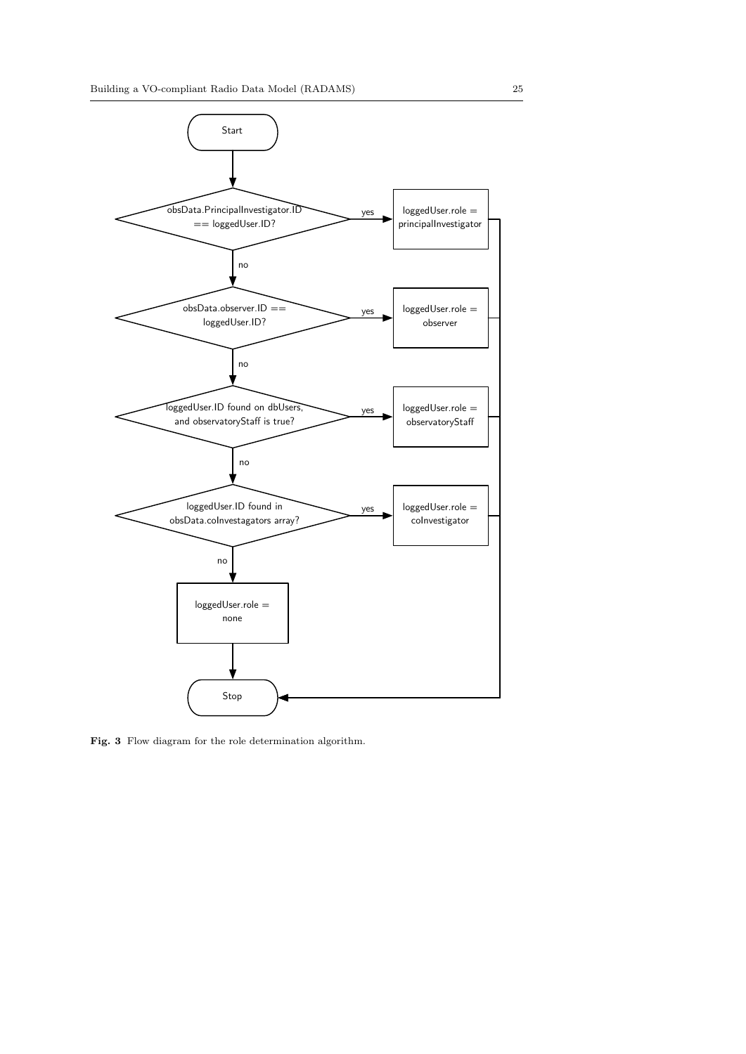

Fig. 3 Flow diagram for the role determination algorithm.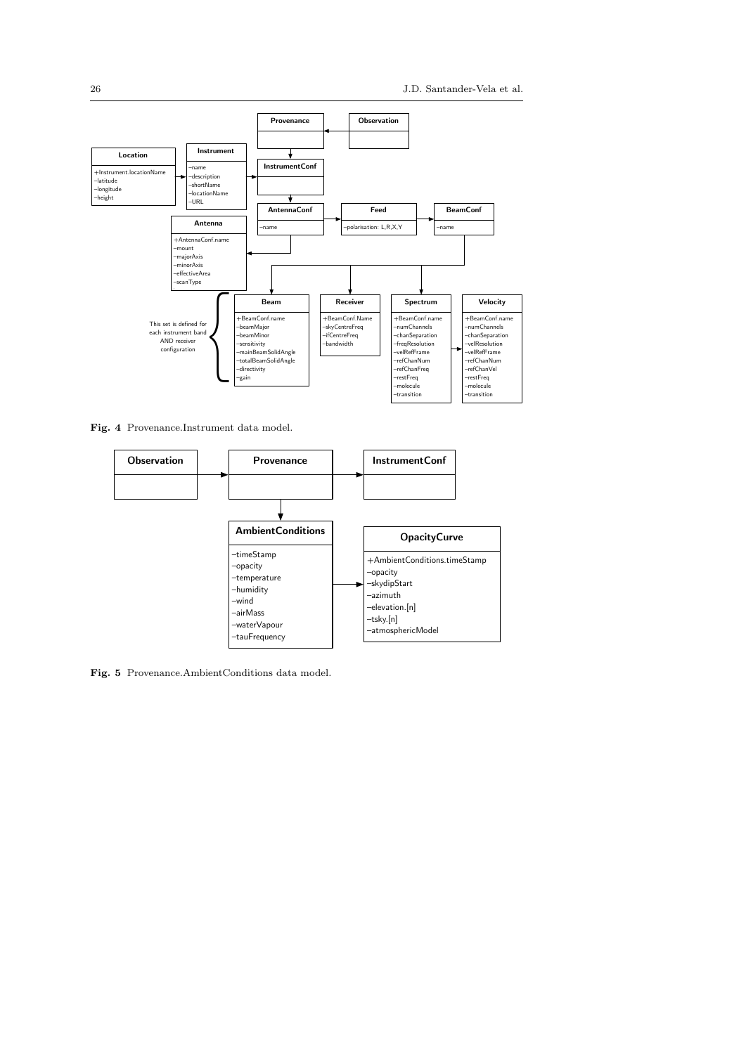

Fig. 4 Provenance.Instrument data model.



Fig. 5 Provenance.AmbientConditions data model.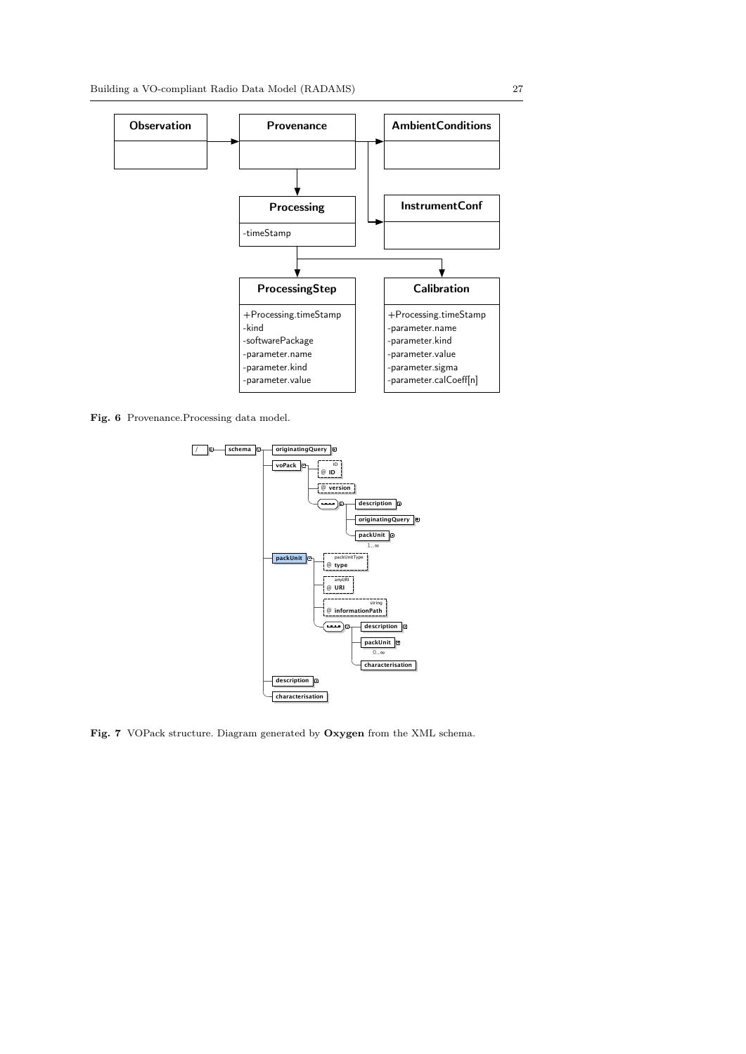

Fig. 6 Provenance.Processing data model.



Fig. 7 VOPack structure. Diagram generated by Oxygen from the XML schema.